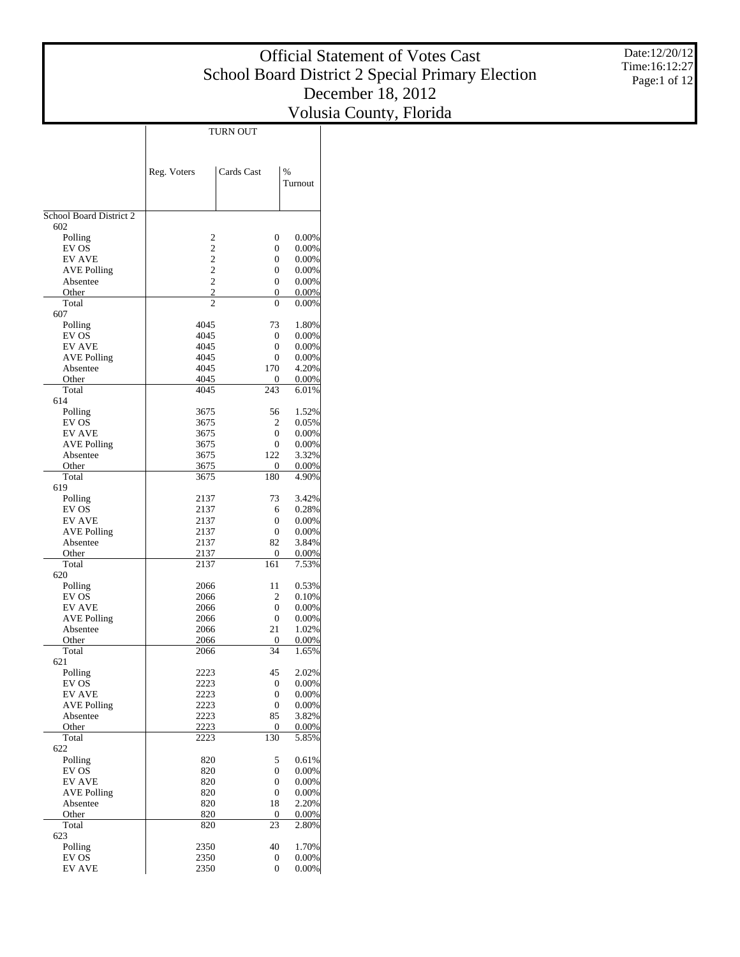Date:12/20/12 Time:16:12:27 Page:1 of 12

|                                     |                                  | TURN OUT       |                          |
|-------------------------------------|----------------------------------|----------------|--------------------------|
|                                     |                                  |                |                          |
|                                     | Reg. Voters                      | Cards Cast     | $\frac{9}{6}$<br>Turnout |
|                                     |                                  |                |                          |
| School Board District 2<br>602      |                                  |                |                          |
| Polling                             | 2                                | 0              | $0.00\%$                 |
| EV OS                               | $\overline{c}$                   | $\overline{0}$ | $0.00\%$                 |
| <b>EV AVE</b>                       | $\overline{c}$                   | 0              | $0.00\%$                 |
| <b>AVE Polling</b>                  | $\overline{c}$                   | $\overline{0}$ | $0.00\%$                 |
| Absentee                            | $\overline{c}$                   | 0              | $0.00\%$                 |
| Other<br>Total                      | $\overline{c}$<br>$\overline{c}$ | 0<br>0         | $0.00\%$<br>$0.00\%$     |
| 607                                 |                                  |                |                          |
| Polling                             | 4045                             | 73             | 1.80%                    |
| EV OS                               | 4045                             | 0              | $0.00\%$                 |
| <b>EV AVE</b><br><b>AVE Polling</b> | 4045<br>4045                     | 0<br>0         | 0.00%<br>$0.00\%$        |
| Absentee                            | 4045                             | 170            | 4.20%                    |
| Other                               | 4045                             | 0              | $0.00\%$                 |
| Total                               | 4045                             | 243            | 6.01%                    |
| 614                                 |                                  |                |                          |
| Polling                             | 3675                             | 56             | 1.52%                    |
| EV OS<br><b>EV AVE</b>              | 3675<br>3675                     | 2<br>0         | 0.05%<br>0.00%           |
| <b>AVE Polling</b>                  | 3675                             | 0              | $0.00\%$                 |
| Absentee                            | 3675                             | 122            | 3.32%                    |
| Other                               | 3675                             | 0              | $0.00\%$                 |
| Total<br>619                        | 3675                             | 180            | 4.90%                    |
| Polling                             | 2137                             | 73             | 3.42%                    |
| EV OS                               | 2137                             | 6              | 0.28%                    |
| <b>EV AVE</b>                       | 2137                             | 0              | $0.00\%$                 |
| <b>AVE Polling</b>                  | 2137                             | 0              | $0.00\%$                 |
| Absentee                            | 2137                             | 82             | 3.84%                    |
| Other<br>Total                      | 2137<br>2137                     | 0<br>161       | $0.00\%$<br>7.53%        |
| 620                                 |                                  |                |                          |
| Polling                             | 2066                             | 11             | 0.53%                    |
| EV OS                               | 2066                             | 2              | 0.10%                    |
| <b>EV AVE</b>                       | 2066                             | 0              | 0.00%                    |
| <b>AVE Polling</b>                  | 2066                             | 0              | $0.00\%$                 |
| Absentee<br>Other                   | 2066<br>2066                     | 21<br>0        | 1.02%<br>$0.00\%$        |
| Total                               | 2066                             | 34             | 1.65%                    |
| 621                                 |                                  |                |                          |
| Polling                             | 2223                             | 45             | 2.02%                    |
| EV OS                               | 2223                             | 0              | 0.00%                    |
| <b>EV AVE</b><br><b>AVE Polling</b> | 2223<br>2223                     | 0<br>0         | 0.00%<br>0.00%           |
| Absentee                            | 2223                             | 85             | 3.82%                    |
| Other                               | 2223                             | 0              | 0.00%                    |
| Total                               | 2223                             | 130            | 5.85%                    |
| 622                                 |                                  |                |                          |
| Polling<br>EV OS                    | 820<br>820                       | 5<br>0         | 0.61%<br>0.00%           |
| <b>EV AVE</b>                       | 820                              | 0              | 0.00%                    |
| <b>AVE Polling</b>                  | 820                              | 0              | 0.00%                    |
| Absentee                            | 820                              | 18             | 2.20%                    |
| Other                               | 820                              | 0              | 0.00%                    |
| Total<br>623                        | 820                              | 23             | 2.80%                    |
| Polling                             | 2350                             | 40             | 1.70%                    |
| EV OS                               | 2350                             | 0              | 0.00%                    |
| <b>EV AVE</b>                       | 2350                             | 0              | 0.00%                    |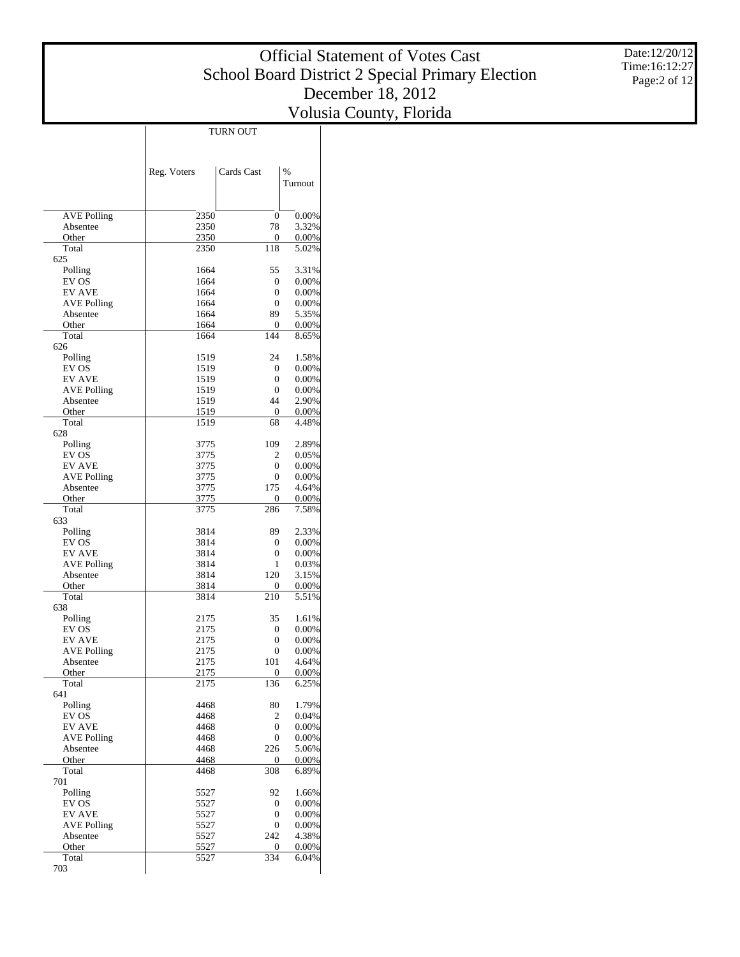Date:12/20/12 Time:16:12:27 Page:2 of 12

|                    |              | TURN OUT         |                |
|--------------------|--------------|------------------|----------------|
|                    |              |                  |                |
|                    |              |                  |                |
|                    | Reg. Voters  | Cards Cast       | %              |
|                    |              |                  | Turnout        |
|                    |              |                  |                |
|                    |              |                  |                |
| <b>AVE Polling</b> | 2350         | $\boldsymbol{0}$ | 0.00%          |
| Absentee           | 2350         | 78               | 3.32%          |
| Other              | 2350         | 0                | 0.00%          |
| Total              | 2350         | 118              | 5.02%          |
| 625                |              | 55               |                |
| Polling<br>EV OS   | 1664<br>1664 | $\overline{0}$   | 3.31%<br>0.00% |
| <b>EV AVE</b>      | 1664         | 0                | 0.00%          |
| <b>AVE Polling</b> | 1664         | $\overline{0}$   | 0.00%          |
| Absentee           | 1664         | 89               | 5.35%          |
| Other              | 1664         | 0                | 0.00%          |
| Total              | 1664         | 144              | 8.65%          |
| 626                |              |                  |                |
| Polling            | 1519         | 24               | 1.58%          |
| EV OS              | 1519         | $\overline{0}$   | 0.00%          |
| <b>EV AVE</b>      | 1519         | $\overline{0}$   | 0.00%          |
| <b>AVE Polling</b> | 1519         | $\overline{0}$   | 0.00%          |
| Absentee           | 1519         | 44               | 2.90%          |
| Other              | 1519         | $\overline{0}$   | 0.00%          |
| Total              | 1519         | 68               | 4.48%          |
| 628                |              |                  |                |
| Polling<br>EV OS   | 3775<br>3775 | 109<br>2         | 2.89%<br>0.05% |
| <b>EV AVE</b>      | 3775         | 0                | 0.00%          |
| <b>AVE Polling</b> | 3775         | $\overline{0}$   | 0.00%          |
| Absentee           | 3775         | 175              | 4.64%          |
| Other              | 3775         | $\overline{0}$   | 0.00%          |
| Total              | 3775         | 286              | 7.58%          |
| 633                |              |                  |                |
| Polling            | 3814         | 89               | 2.33%          |
| EV OS              | 3814         | $\overline{0}$   | 0.00%          |
| <b>EV AVE</b>      | 3814         | 0                | 0.00%          |
| <b>AVE Polling</b> | 3814         | 1                | 0.03%          |
| Absentee           | 3814         | 120              | 3.15%          |
| Other              | 3814         | 0                | 0.00%          |
| Total              | 3814         | 210              | 5.51%          |
| 638                |              | 35               | 1.61%          |
| Polling<br>EV OS   | 2175<br>2175 | 0                | 0.00%          |
| <b>EV AVE</b>      | 2175         | 0                | 0.00%          |
| <b>AVE Polling</b> | 2175         | $\overline{0}$   | 0.00%          |
| Absentee           | 2175         | 101              | 4.64%          |
| Other              | 2175         | $\boldsymbol{0}$ | 0.00%          |
| Total              | 2175         | 136              | 6.25%          |
| 641                |              |                  |                |
| Polling            | 4468         | 80               | 1.79%          |
| EV OS              | 4468         | 2                | 0.04%          |
| <b>EV AVE</b>      | 4468         | $\overline{0}$   | 0.00%          |
| <b>AVE Polling</b> | 4468         | 0                | 0.00%          |
| Absentee           | 4468         | 226              | 5.06%          |
| Other              | 4468         | 0                | 0.00%          |
| Total              | 4468         | 308              | 6.89%          |
| 701<br>Polling     |              |                  |                |
| EV OS              | 5527<br>5527 | 92<br>0          | 1.66%<br>0.00% |
| <b>EV AVE</b>      | 5527         | 0                | 0.00%          |
| <b>AVE Polling</b> | 5527         | 0                | 0.00%          |
| Absentee           | 5527         | 242              | 4.38%          |
| Other              | 5527         | $\boldsymbol{0}$ | 0.00%          |
| Total              | 5527         | 334              | 6.04%          |
| 703                |              |                  |                |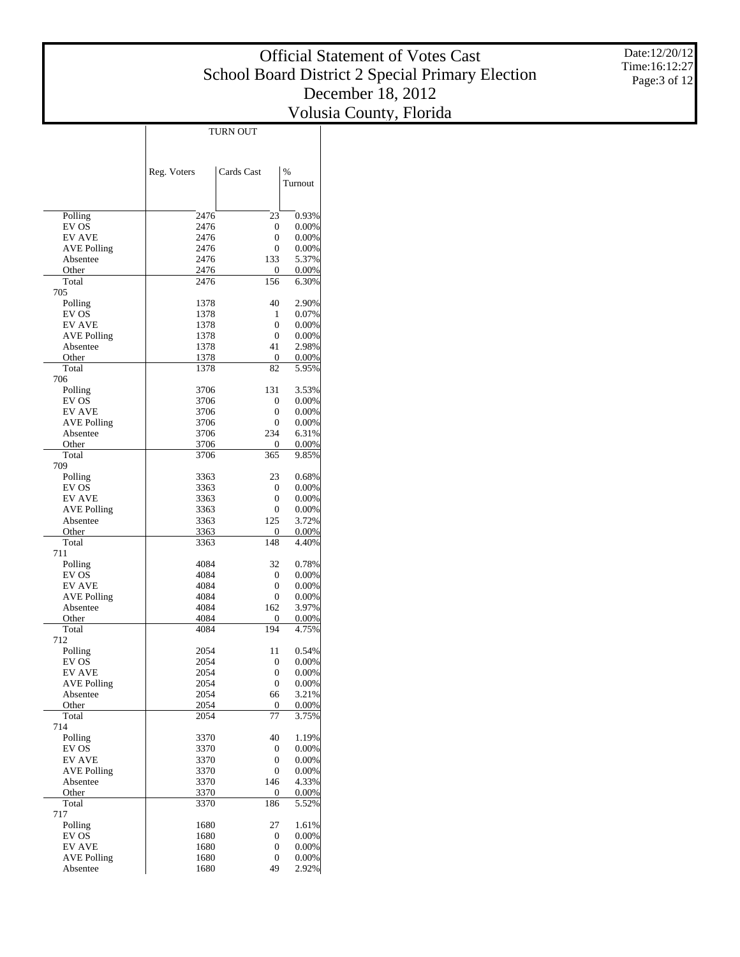Date:12/20/12 Time:16:12:27 Page:3 of 12

|                                     |              | TURN OUT                         |                 |
|-------------------------------------|--------------|----------------------------------|-----------------|
|                                     |              |                                  |                 |
|                                     |              |                                  |                 |
|                                     | Reg. Voters  | Cards Cast                       | $\%$<br>Turnout |
|                                     |              |                                  |                 |
|                                     |              |                                  |                 |
| Polling<br>EV OS                    | 2476<br>2476 | 23<br>$\overline{0}$             | 0.93%<br>0.00%  |
| <b>EV AVE</b>                       | 2476         | $\overline{0}$                   | 0.00%           |
| <b>AVE Polling</b>                  | 2476         | $\overline{0}$                   | 0.00%           |
| Absentee                            | 2476         | 133                              | 5.37%           |
| Other<br>Total                      | 2476<br>2476 | 0<br>156                         | 0.00%           |
| 705                                 |              |                                  | 6.30%           |
| Polling                             | 1378         | 40                               | 2.90%           |
| EV OS                               | 1378         | 1                                | 0.07%           |
| <b>EV AVE</b>                       | 1378         | $\overline{0}$                   | 0.00%           |
| <b>AVE Polling</b><br>Absentee      | 1378<br>1378 | $\overline{0}$<br>41             | 0.00%<br>2.98%  |
| Other                               | 1378         | 0                                | 0.00%           |
| Total                               | 1378         | 82                               | 5.95%           |
| 706                                 |              |                                  |                 |
| Polling                             | 3706         | 131                              | 3.53%           |
| EV OS<br><b>EV AVE</b>              | 3706<br>3706 | 0<br>$\overline{0}$              | 0.00%<br>0.00%  |
| <b>AVE Polling</b>                  | 3706         | $\overline{0}$                   | 0.00%           |
| Absentee                            | 3706         | 234                              | 6.31%           |
| Other                               | 3706         | 0                                | 0.00%           |
| Total                               | 3706         | 365                              | 9.85%           |
| 709<br>Polling                      | 3363         | 23                               | 0.68%           |
| EV OS                               | 3363         | $\overline{0}$                   | 0.00%           |
| <b>EV AVE</b>                       | 3363         | $\overline{0}$                   | 0.00%           |
| <b>AVE Polling</b>                  | 3363         | $\overline{0}$                   | 0.00%           |
| Absentee                            | 3363         | 125                              | 3.72%           |
| Other<br>Total                      | 3363<br>3363 | 0<br>148                         | 0.00%<br>4.40%  |
| 711                                 |              |                                  |                 |
| Polling                             | 4084         | 32                               | 0.78%           |
| EV OS                               | 4084         | $\overline{0}$                   | 0.00%           |
| <b>EV AVE</b>                       | 4084<br>4084 | $\overline{0}$<br>$\overline{0}$ | 0.00%           |
| <b>AVE Polling</b><br>Absentee      | 4084         | 162                              | 0.00%<br>3.97%  |
| Other                               | 4084         | 0                                | 0.00%           |
| Total                               | 4084         | 194                              | 4.75%           |
| 712                                 |              |                                  |                 |
| Polling<br>EV OS                    | 2054<br>2054 | 11<br>0                          | 0.54%<br>0.00%  |
| <b>EV AVE</b>                       | 2054         | 0                                | 0.00%           |
| <b>AVE Polling</b>                  | 2054         | $\boldsymbol{0}$                 | 0.00%           |
| Absentee                            | 2054         | 66                               | 3.21%           |
| Other                               | 2054         | 0                                | 0.00%           |
| Total<br>714                        | 2054         | 77                               | 3.75%           |
| Polling                             | 3370         | 40                               | 1.19%           |
| EV OS                               | 3370         | 0                                | 0.00%           |
| <b>EV AVE</b>                       | 3370         | 0                                | 0.00%           |
| <b>AVE Polling</b>                  | 3370         | 0                                | 0.00%           |
| Absentee<br>Other                   | 3370<br>3370 | 146<br>0                         | 4.33%<br>0.00%  |
| Total                               | 3370         | 186                              | 5.52%           |
| 717                                 |              |                                  |                 |
| Polling                             | 1680         | 27                               | 1.61%           |
| EV OS                               | 1680         | 0                                | 0.00%           |
| <b>EV AVE</b><br><b>AVE Polling</b> | 1680<br>1680 | 0<br>0                           | 0.00%<br>0.00%  |
| Absentee                            | 1680         | 49                               | 2.92%           |
|                                     |              |                                  |                 |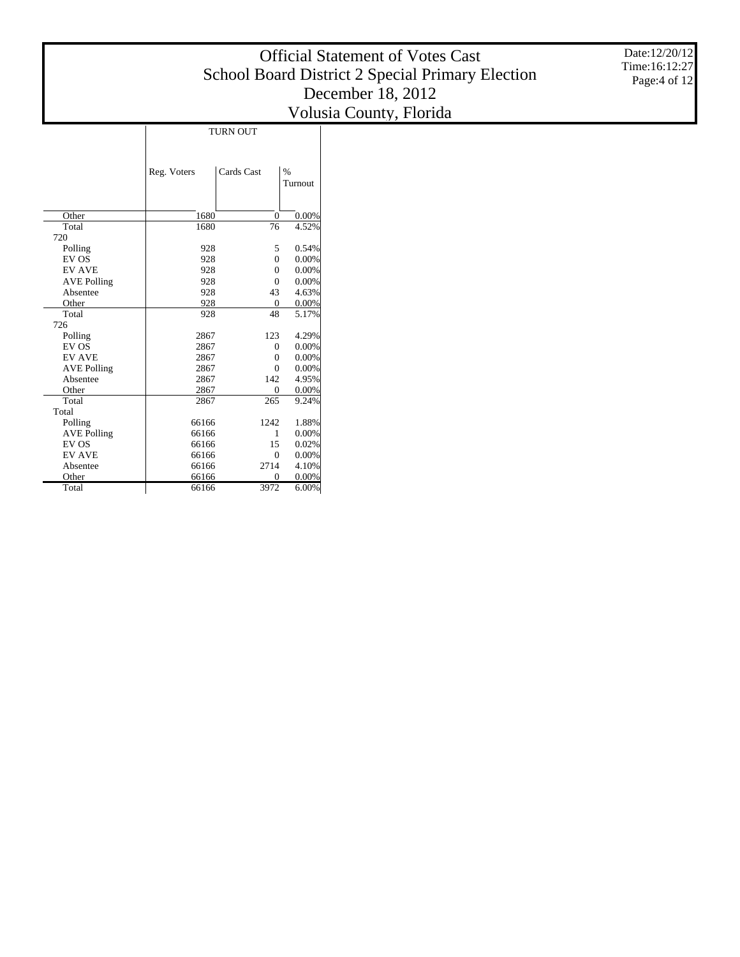# Official Statement of Votes Cast School Board District 2 Special Primary Election December 18, 2012

Volusia County, Florida Turnout TURN OUT

Date:12/20/12 Time:16:12:27 Page:4 of 12

|                    | Reg. Voters | Cards Cast     | $\%$    |
|--------------------|-------------|----------------|---------|
|                    |             |                | Turnout |
|                    |             |                |         |
|                    |             |                |         |
| Other              | 1680        | $\overline{0}$ | 0.00%   |
| Total              | 1680        | 76             | 4.52%   |
| 720                |             |                |         |
| Polling            | 928         | 5              | 0.54%   |
| EV OS              | 928         | $\theta$       | 0.00%   |
| <b>EV AVE</b>      | 928         | $\theta$       | 0.00%   |
| <b>AVE Polling</b> | 928         | $\theta$       | 0.00%   |
| Absentee           | 928         | 43             | 4.63%   |
| Other              | 928         | $\mathbf{0}$   | 0.00%   |
| Total              | 928         | 48             | 5.17%   |
| 726                |             |                |         |
| Polling            | 2867        | 123            | 4.29%   |
| EV OS              | 2867        | $\Omega$       | 0.00%   |
| <b>EV AVE</b>      | 2867        | $\theta$       | 0.00%   |
| <b>AVE Polling</b> | 2867        | $\theta$       | 0.00%   |
| Absentee           | 2867        | 142            | 4.95%   |
| Other              | 2867        | $\overline{0}$ | 0.00%   |
| Total              | 2867        | 265            | 9.24%   |
| Total              |             |                |         |
| Polling            | 66166       | 1242           | 1.88%   |
| <b>AVE Polling</b> | 66166       | 1              | 0.00%   |
| EV OS              | 66166       | 15             | 0.02%   |
| <b>EV AVE</b>      | 66166       | $\Omega$       | 0.00%   |
| Absentee           | 66166       | 2714           | 4.10%   |
| Other              | 66166       | $\theta$       | 0.00%   |
| Total              | 66166       | 3972           | 6.00%   |
|                    |             |                |         |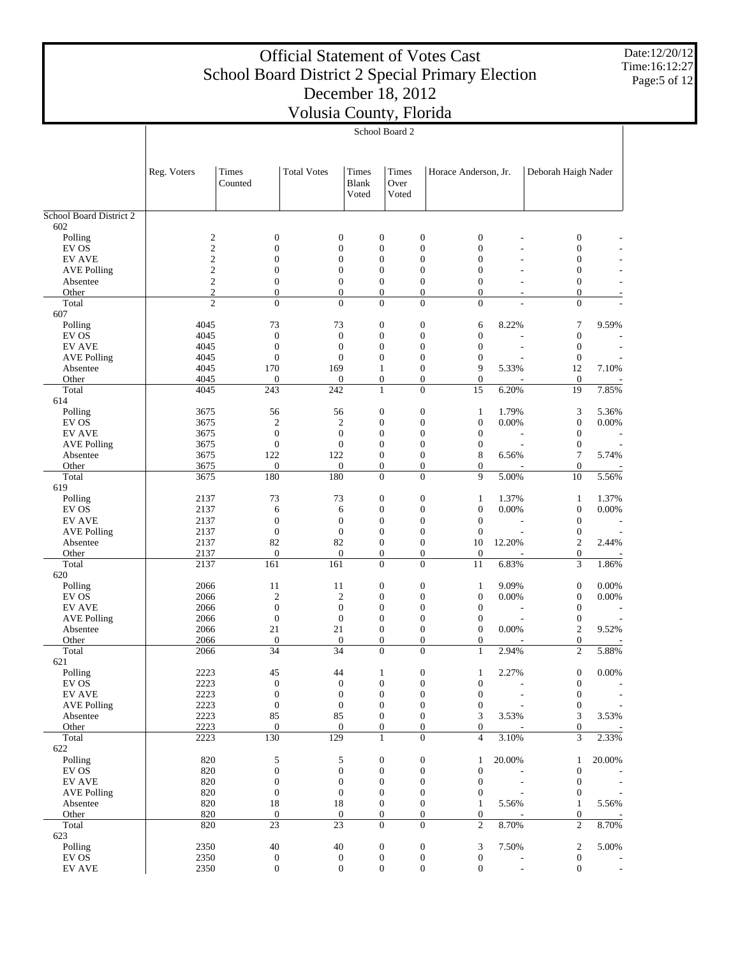Date:12/20/12 Time:16:12:27 Page:5 of 12

|                                     |                                    |                                  | , ordona County,       |                                      | School Board 2                       | T <sub>10</sub> T <sub>10</sub>                                            |                |                                      |                |
|-------------------------------------|------------------------------------|----------------------------------|------------------------|--------------------------------------|--------------------------------------|----------------------------------------------------------------------------|----------------|--------------------------------------|----------------|
|                                     | Reg. Voters                        | Times<br>Counted                 | <b>Total Votes</b>     | Times<br><b>Blank</b><br>Voted       | Times<br>Over<br>Voted               | Horace Anderson, Jr.                                                       |                | Deborah Haigh Nader                  |                |
| School Board District 2             |                                    |                                  |                        |                                      |                                      |                                                                            |                |                                      |                |
| 602<br>Polling                      |                                    |                                  |                        |                                      |                                      |                                                                            |                |                                      |                |
| EV OS                               | $\boldsymbol{2}$<br>$\mathfrak{2}$ | $\boldsymbol{0}$<br>$\mathbf{0}$ |                        | $\boldsymbol{0}$<br>$\boldsymbol{0}$ | $\boldsymbol{0}$<br>$\boldsymbol{0}$ | $\boldsymbol{0}$<br>$\boldsymbol{0}$<br>$\overline{0}$<br>$\boldsymbol{0}$ |                | $\boldsymbol{0}$<br>$\boldsymbol{0}$ |                |
| <b>EV AVE</b>                       | $\overline{\mathbf{c}}$            | $\boldsymbol{0}$                 |                        | $\boldsymbol{0}$                     | $\boldsymbol{0}$                     | $\boldsymbol{0}$<br>$\boldsymbol{0}$                                       |                | $\mathbf{0}$                         |                |
| <b>AVE Polling</b>                  | $\overline{c}$                     | $\boldsymbol{0}$                 |                        | $\boldsymbol{0}$                     | $\boldsymbol{0}$                     | $\boldsymbol{0}$<br>$\mathbf{0}$                                           |                | $\boldsymbol{0}$                     |                |
| Absentee                            | $\sqrt{2}$                         | 0                                |                        | $\boldsymbol{0}$                     | $\boldsymbol{0}$                     | $\boldsymbol{0}$<br>0                                                      |                | $\boldsymbol{0}$                     |                |
| Other                               | $\mathfrak{2}$<br>$\overline{c}$   | $\mathbf{0}$<br>$\overline{0}$   |                        | $\overline{0}$<br>$\overline{0}$     | $\boldsymbol{0}$<br>$\overline{0}$   | $\boldsymbol{0}$<br>$\mathbf{0}$<br>$\overline{0}$<br>$\overline{0}$       |                | $\mathbf{0}$<br>$\overline{0}$       |                |
| Total<br>607                        |                                    |                                  |                        |                                      |                                      |                                                                            |                |                                      |                |
| Polling                             | 4045                               | 73                               | 73                     |                                      | $\boldsymbol{0}$                     | $\boldsymbol{0}$<br>6                                                      | 8.22%          | $\tau$                               | 9.59%          |
| EV OS                               | 4045                               | $\mathbf{0}$                     |                        | $\mathbf{0}$                         | $\boldsymbol{0}$                     | $\boldsymbol{0}$<br>$\mathbf{0}$                                           |                | $\boldsymbol{0}$                     |                |
| <b>EV AVE</b>                       | 4045                               | $\mathbf{0}$                     |                        | $\mathbf{0}$                         | $\boldsymbol{0}$                     | $\mathbf{0}$<br>0                                                          |                | $\boldsymbol{0}$                     |                |
| <b>AVE Polling</b>                  | 4045                               | $\theta$                         |                        | $\overline{0}$                       | $\boldsymbol{0}$                     | $\boldsymbol{0}$<br>$\mathbf{0}$                                           |                | $\mathbf{0}$                         |                |
| Absentee<br>Other                   | 4045<br>4045                       | 170<br>$\boldsymbol{0}$          | 169                    | $\mathbf{0}$                         | $\mathbf{1}$<br>$\boldsymbol{0}$     | 9<br>0<br>$\boldsymbol{0}$<br>$\mathbf{0}$                                 | 5.33%          | 12<br>$\mathbf{0}$                   | 7.10%          |
| Total                               | 4045                               | 243                              | 242                    |                                      | $\mathbf{1}$                         | $\overline{15}$<br>$\overline{0}$                                          | 6.20%          | 19                                   | 7.85%          |
| 614                                 |                                    |                                  |                        |                                      |                                      |                                                                            |                |                                      |                |
| Polling                             | 3675                               | 56                               | 56                     |                                      | $\boldsymbol{0}$                     | $\boldsymbol{0}$<br>$\mathbf{1}$                                           | 1.79%          | 3                                    | 5.36%          |
| EV OS                               | 3675                               | $\overline{2}$                   |                        | $\overline{2}$                       | $\boldsymbol{0}$                     | $\boldsymbol{0}$<br>$\boldsymbol{0}$                                       | 0.00%          | $\boldsymbol{0}$                     | 0.00%          |
| <b>EV AVE</b>                       | 3675                               | $\boldsymbol{0}$                 |                        | $\mathbf{0}$                         | $\boldsymbol{0}$                     | $\boldsymbol{0}$<br>$\mathbf{0}$                                           |                | $\boldsymbol{0}$                     |                |
| <b>AVE Polling</b><br>Absentee      | 3675<br>3675                       | $\theta$<br>122                  | 122                    | $\mathbf{0}$                         | $\boldsymbol{0}$<br>$\boldsymbol{0}$ | $\boldsymbol{0}$<br>$\mathbf{0}$<br>8<br>0                                 | 6.56%          | $\boldsymbol{0}$<br>7                | 5.74%          |
| Other                               | 3675                               | $\boldsymbol{0}$                 |                        | $\mathbf{0}$                         | $\boldsymbol{0}$                     | $\boldsymbol{0}$<br>$\mathbf{0}$                                           |                | $\mathbf{0}$                         |                |
| Total                               | 3675                               | 180                              | 180                    |                                      | $\overline{0}$                       | 9<br>$\overline{0}$                                                        | 5.00%          | 10                                   | 5.56%          |
| 619                                 |                                    |                                  |                        |                                      |                                      |                                                                            |                |                                      |                |
| Polling                             | 2137                               | 73                               | 73                     |                                      | $\boldsymbol{0}$                     | $\boldsymbol{0}$<br>$\mathbf{1}$                                           | 1.37%          | $\mathbf{1}$                         | 1.37%          |
| EV OS                               | 2137                               | 6<br>$\boldsymbol{0}$            |                        | 6<br>$\mathbf{0}$                    | $\boldsymbol{0}$<br>$\boldsymbol{0}$ | $\boldsymbol{0}$<br>$\boldsymbol{0}$<br>$\boldsymbol{0}$<br>$\mathbf{0}$   | 0.00%          | $\boldsymbol{0}$<br>$\boldsymbol{0}$ | 0.00%          |
| <b>EV AVE</b><br><b>AVE Polling</b> | 2137<br>2137                       | $\mathbf{0}$                     |                        | $\mathbf{0}$                         | $\boldsymbol{0}$                     | $\boldsymbol{0}$<br>$\theta$                                               |                | $\boldsymbol{0}$                     |                |
| Absentee                            | 2137                               | 82                               | 82                     |                                      | $\boldsymbol{0}$                     | $\boldsymbol{0}$<br>10                                                     | 12.20%         | $\overline{c}$                       | 2.44%          |
| Other                               | 2137                               | $\overline{0}$                   |                        | $\theta$                             | $\boldsymbol{0}$                     | $\boldsymbol{0}$<br>$\boldsymbol{0}$                                       |                | $\mathbf{0}$                         |                |
| Total                               | 2137                               | 161                              | 161                    |                                      | $\overline{0}$                       | 11<br>$\overline{0}$                                                       | 6.83%          | 3                                    | 1.86%          |
| 620                                 |                                    |                                  |                        |                                      |                                      |                                                                            |                |                                      |                |
| Polling                             | 2066<br>2066                       | 11<br>$\overline{2}$             | 11                     | $\overline{2}$                       | $\boldsymbol{0}$<br>$\boldsymbol{0}$ | $\boldsymbol{0}$<br>1<br>$\boldsymbol{0}$<br>$\boldsymbol{0}$              | 9.09%<br>0.00% | $\boldsymbol{0}$<br>$\boldsymbol{0}$ | 0.00%<br>0.00% |
| EV OS<br><b>EV AVE</b>              | 2066                               | $\mathbf{0}$                     |                        | $\mathbf{0}$                         | $\boldsymbol{0}$                     | $\boldsymbol{0}$<br>$\mathbf{0}$                                           |                | $\mathbf{0}$                         |                |
| <b>AVE Polling</b>                  | 2066                               | $\mathbf{0}$                     |                        | $\mathbf{0}$                         | $\boldsymbol{0}$                     | $\boldsymbol{0}$<br>$\mathbf{0}$                                           |                | $\boldsymbol{0}$                     |                |
| Absentee                            | 2066                               | 21                               | 21                     |                                      | $\boldsymbol{0}$                     | $\overline{0}$<br>0                                                        | 0.00%          | $\sqrt{2}$                           | 9.52%          |
| Other                               | 2066                               | $\mathbf{0}$                     |                        | $\mathbf{0}$                         | $\boldsymbol{0}$                     | $\boldsymbol{0}$<br>$\overline{0}$                                         |                | $\mathbf{0}$                         |                |
| Total                               | 2066                               | 34                               | 34                     |                                      | $\overline{0}$                       | $\mathbf{1}$<br>$\overline{0}$                                             | 2.94%          | $\overline{c}$                       | 5.88%          |
| 621<br>Polling                      | 2223                               | 45                               | 44                     |                                      | $\mathbf{1}$                         | $\boldsymbol{0}$<br>1                                                      | 2.27%          | $\boldsymbol{0}$                     | $0.00\%$       |
| EV OS                               | 2223                               | $\mathbf{0}$                     |                        | $\mathbf{0}$                         | $\boldsymbol{0}$                     | $\boldsymbol{0}$<br>$\mathbf{0}$                                           |                | $\boldsymbol{0}$                     |                |
| <b>EV AVE</b>                       | 2223                               | $\boldsymbol{0}$                 |                        | $\boldsymbol{0}$                     | $\boldsymbol{0}$                     | $\boldsymbol{0}$<br>$\mathbf{0}$                                           |                | $\boldsymbol{0}$                     |                |
| <b>AVE Polling</b>                  | 2223                               | $\mathbf{0}$                     |                        | $\mathbf{0}$                         | $\boldsymbol{0}$                     | $\boldsymbol{0}$<br>$\mathbf{0}$                                           |                | $\mathbf{0}$                         |                |
| Absentee                            | 2223                               | 85                               | 85                     |                                      | $\boldsymbol{0}$                     | $\boldsymbol{0}$<br>3                                                      | 3.53%          | 3                                    | 3.53%          |
| Other<br>Total                      | 2223<br>2223                       | $\mathbf{0}$<br>130              | $\overline{129}$       | $\mathbf{0}$                         | $\boldsymbol{0}$<br>$\mathbf{1}$     | $\boldsymbol{0}$<br>$\overline{0}$<br>$\overline{0}$<br>$\overline{4}$     | 3.10%          | $\boldsymbol{0}$<br>3                | 2.33%          |
| 622                                 |                                    |                                  |                        |                                      |                                      |                                                                            |                |                                      |                |
| Polling                             | 820                                | 5                                |                        | 5                                    | $\boldsymbol{0}$                     | $\boldsymbol{0}$<br>1                                                      | 20.00%         | 1                                    | 20.00%         |
| EV OS                               | 820                                | $\boldsymbol{0}$                 |                        | $\boldsymbol{0}$                     | $\boldsymbol{0}$                     | $\boldsymbol{0}$<br>$\boldsymbol{0}$                                       |                | $\boldsymbol{0}$                     |                |
| <b>EV AVE</b>                       | 820                                | $\boldsymbol{0}$                 |                        | $\boldsymbol{0}$                     | $\boldsymbol{0}$                     | $\boldsymbol{0}$<br>$\boldsymbol{0}$                                       |                | $\boldsymbol{0}$<br>÷.               |                |
| <b>AVE Polling</b>                  | 820                                | $\mathbf{0}$                     |                        | $\mathbf{0}$                         | $\boldsymbol{0}$                     | $\boldsymbol{0}$<br>$\boldsymbol{0}$                                       |                | $\boldsymbol{0}$                     |                |
| Absentee<br>Other                   | 820<br>820                         | 18<br>$\boldsymbol{0}$           | 18<br>$\boldsymbol{0}$ |                                      | $\boldsymbol{0}$<br>$\boldsymbol{0}$ | $\boldsymbol{0}$<br>1<br>$\boldsymbol{0}$<br>$\mathbf{0}$                  | 5.56%          | $\mathbf{1}$<br>$\boldsymbol{0}$     | 5.56%          |
| Total                               | 820                                | 23                               | 23                     |                                      | $\overline{0}$                       | $\overline{2}$<br>$\overline{0}$                                           | 8.70%          | $\overline{c}$                       | 8.70%          |
| 623                                 |                                    |                                  |                        |                                      |                                      |                                                                            |                |                                      |                |
| Polling                             | 2350                               | $40\,$                           | 40                     |                                      | $\boldsymbol{0}$                     | $\boldsymbol{0}$<br>3                                                      | 7.50%          | $\overline{c}$                       | 5.00%          |
| EV OS                               | 2350                               | $\boldsymbol{0}$                 |                        | $\boldsymbol{0}$                     | $\boldsymbol{0}$                     | $\boldsymbol{0}$<br>$\mathbf{0}$                                           |                | $\boldsymbol{0}$                     |                |
| EV AVE                              | 2350                               | $\boldsymbol{0}$                 |                        | $\boldsymbol{0}$                     | $\boldsymbol{0}$                     | $\boldsymbol{0}$<br>$\mathbf{0}$                                           |                | $\boldsymbol{0}$                     |                |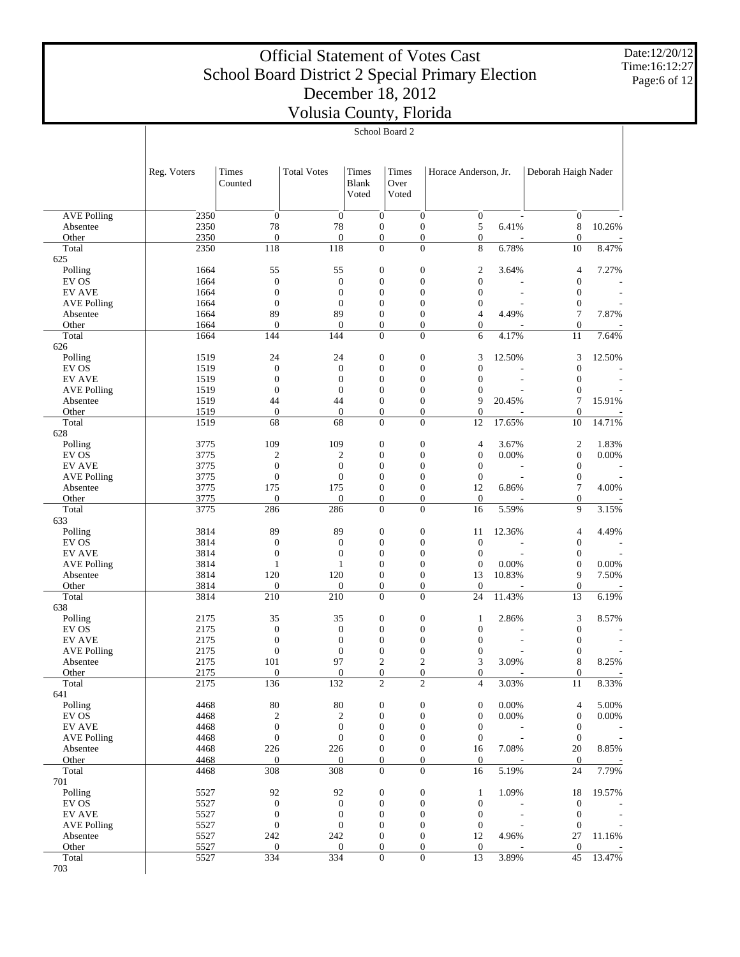Date:12/20/12 Time:16:12:27 Page:6 of 12

|                                | School Board 2 |                                      |                                      |                                      |                                      |                                      |                |                                      |                |
|--------------------------------|----------------|--------------------------------------|--------------------------------------|--------------------------------------|--------------------------------------|--------------------------------------|----------------|--------------------------------------|----------------|
|                                | Reg. Voters    | Times<br>Counted                     | <b>Total Votes</b>                   | Times<br><b>Blank</b><br>Voted       | Times<br>Over<br>Voted               | Horace Anderson, Jr.                 |                | Deborah Haigh Nader                  |                |
|                                |                |                                      |                                      |                                      |                                      |                                      |                |                                      |                |
| <b>AVE Polling</b>             | 2350           | $\theta$                             | $\boldsymbol{0}$                     | $\boldsymbol{0}$                     | $\boldsymbol{0}$                     | $\mathbf{0}$                         |                | $\mathbf{0}$                         |                |
| Absentee<br>Other              | 2350<br>2350   | 78<br>$\mathbf{0}$                   | 78<br>$\overline{0}$                 | $\boldsymbol{0}$<br>$\boldsymbol{0}$ | $\boldsymbol{0}$<br>$\boldsymbol{0}$ | 5<br>$\mathbf{0}$                    | 6.41%          | 8<br>$\boldsymbol{0}$                | 10.26%         |
| Total                          | 2350           | 118                                  | 118                                  | $\overline{0}$                       | $\overline{0}$                       | 8                                    | 6.78%          | 10                                   | 8.47%          |
| 625                            |                |                                      |                                      |                                      |                                      |                                      |                |                                      |                |
| Polling                        | 1664           | 55                                   | 55                                   | $\boldsymbol{0}$                     | $\boldsymbol{0}$                     | $\mathfrak{2}$                       | 3.64%          | 4                                    | 7.27%          |
| EV OS<br><b>EV AVE</b>         | 1664<br>1664   | $\boldsymbol{0}$<br>$\boldsymbol{0}$ | $\boldsymbol{0}$<br>$\boldsymbol{0}$ | $\boldsymbol{0}$<br>$\boldsymbol{0}$ | $\boldsymbol{0}$<br>0                | $\boldsymbol{0}$<br>$\mathbf{0}$     |                | $\boldsymbol{0}$<br>$\boldsymbol{0}$ |                |
| <b>AVE Polling</b>             | 1664           | $\mathbf{0}$                         | $\boldsymbol{0}$                     | $\boldsymbol{0}$                     | $\boldsymbol{0}$                     | $\boldsymbol{0}$                     |                | $\boldsymbol{0}$                     |                |
| Absentee                       | 1664           | 89                                   | 89                                   | $\boldsymbol{0}$                     | 0                                    | $\overline{4}$                       | 4.49%          | 7                                    | 7.87%          |
| Other                          | 1664           | $\mathbf{0}$                         | $\overline{0}$                       | $\boldsymbol{0}$                     | $\boldsymbol{0}$                     | $\mathbf{0}$                         |                | $\boldsymbol{0}$                     |                |
| Total<br>626                   | 1664           | 144                                  | 144                                  | $\overline{0}$                       | $\overline{0}$                       | 6                                    | 4.17%          | 11                                   | 7.64%          |
| Polling                        | 1519           | 24                                   | 24                                   | $\boldsymbol{0}$                     | $\boldsymbol{0}$                     | 3                                    | 12.50%         | 3                                    | 12.50%         |
| EV OS                          | 1519           | $\boldsymbol{0}$                     | $\boldsymbol{0}$                     | $\boldsymbol{0}$                     | $\boldsymbol{0}$                     | $\boldsymbol{0}$                     |                | $\boldsymbol{0}$                     |                |
| <b>EV AVE</b>                  | 1519           | $\boldsymbol{0}$                     | $\boldsymbol{0}$                     | $\boldsymbol{0}$                     | 0                                    | $\boldsymbol{0}$                     |                | $\boldsymbol{0}$                     |                |
| <b>AVE Polling</b>             | 1519           | $\theta$                             | $\boldsymbol{0}$                     | $\boldsymbol{0}$<br>$\boldsymbol{0}$ | $\boldsymbol{0}$                     | $\overline{0}$<br>9                  | 20.45%         | $\boldsymbol{0}$<br>$\tau$           | 15.91%         |
| Absentee<br>Other              | 1519<br>1519   | 44<br>$\boldsymbol{0}$               | 44<br>$\mathbf{0}$                   | $\boldsymbol{0}$                     | 0<br>$\boldsymbol{0}$                | $\theta$                             |                | $\boldsymbol{0}$                     |                |
| Total                          | 1519           | 68                                   | 68                                   | $\overline{0}$                       | $\overline{0}$                       | 12                                   | 17.65%         | 10                                   | 14.71%         |
| 628                            |                |                                      |                                      |                                      |                                      |                                      |                |                                      |                |
| Polling                        | 3775           | 109                                  | 109                                  | $\boldsymbol{0}$                     | $\boldsymbol{0}$                     | 4                                    | 3.67%          | $\sqrt{2}$                           | 1.83%          |
| EV OS<br><b>EV AVE</b>         | 3775<br>3775   | $\mathfrak{2}$<br>$\boldsymbol{0}$   | 2<br>$\boldsymbol{0}$                | $\boldsymbol{0}$<br>$\boldsymbol{0}$ | $\boldsymbol{0}$<br>0                | $\boldsymbol{0}$<br>$\mathbf{0}$     | 0.00%          | $\boldsymbol{0}$<br>$\boldsymbol{0}$ | 0.00%          |
| <b>AVE Polling</b>             | 3775           | $\boldsymbol{0}$                     | $\boldsymbol{0}$                     | $\boldsymbol{0}$                     | $\boldsymbol{0}$                     | $\mathbf{0}$                         |                | $\boldsymbol{0}$                     |                |
| Absentee                       | 3775           | 175                                  | 175                                  | $\boldsymbol{0}$                     | 0                                    | 12                                   | 6.86%          | 7                                    | 4.00%          |
| Other                          | 3775           | $\mathbf{0}$                         | $\theta$                             | $\boldsymbol{0}$                     | $\boldsymbol{0}$                     | $\theta$                             |                | $\boldsymbol{0}$                     |                |
| Total                          | 3775           | 286                                  | 286                                  | $\overline{0}$                       | $\overline{0}$                       | 16                                   | 5.59%          | 9                                    | 3.15%          |
| 633<br>Polling                 | 3814           | 89                                   | 89                                   | $\boldsymbol{0}$                     | $\boldsymbol{0}$                     | 11                                   | 12.36%         | 4                                    | 4.49%          |
| EV OS                          | 3814           | $\mathbf{0}$                         | $\boldsymbol{0}$                     | $\boldsymbol{0}$                     | $\boldsymbol{0}$                     | $\boldsymbol{0}$                     |                | $\boldsymbol{0}$                     |                |
| <b>EV AVE</b>                  | 3814           | $\boldsymbol{0}$                     | $\boldsymbol{0}$                     | $\boldsymbol{0}$                     | 0                                    | $\boldsymbol{0}$                     |                | $\boldsymbol{0}$                     |                |
| <b>AVE Polling</b>             | 3814           | 1                                    | $\mathbf{1}$                         | $\boldsymbol{0}$                     | $\boldsymbol{0}$                     | $\boldsymbol{0}$                     | 0.00%          | $\boldsymbol{0}$                     | 0.00%          |
| Absentee                       | 3814           | 120                                  | 120                                  | $\boldsymbol{0}$                     | $\boldsymbol{0}$                     | 13                                   | 10.83%         | 9                                    | 7.50%          |
| Other<br>Total                 | 3814<br>3814   | $\mathbf{0}$<br>210                  | $\boldsymbol{0}$<br>210              | $\boldsymbol{0}$<br>$\overline{0}$   | $\boldsymbol{0}$<br>0                | $\boldsymbol{0}$<br>24               | 11.43%         | $\boldsymbol{0}$<br>13               | 6.19%          |
| 638                            |                |                                      |                                      |                                      |                                      |                                      |                |                                      |                |
| Polling                        | 2175           | 35                                   | 35                                   | $\boldsymbol{0}$                     | $\boldsymbol{0}$                     | 1                                    | 2.86%          | 3                                    | 8.57%          |
| EV OS                          | 2175           | $\mathbf{0}$                         | $\boldsymbol{0}$                     | $\boldsymbol{0}$                     | 0                                    | $\boldsymbol{0}$                     |                | $\boldsymbol{0}$                     |                |
| <b>EV AVE</b>                  | 2175           | $\boldsymbol{0}$                     | $\boldsymbol{0}$                     | $\boldsymbol{0}$                     | 0                                    | $\boldsymbol{0}$                     |                | $\boldsymbol{0}$                     |                |
| <b>AVE Polling</b><br>Absentee | 2175<br>2175   | $\boldsymbol{0}$<br>101              | $\boldsymbol{0}$<br>97               | $\boldsymbol{0}$<br>$\boldsymbol{2}$ | 0                                    | $\boldsymbol{0}$<br>3                | 3.09%          | $\boldsymbol{0}$<br>8                | 8.25%          |
| Other                          | 2175           | $\boldsymbol{0}$                     | $\boldsymbol{0}$                     | $\overline{0}$                       | 0                                    | 0                                    |                | $\boldsymbol{0}$                     |                |
| Total                          | 2175           | 136                                  | 132                                  | $\overline{2}$                       | $\overline{c}$                       | 4                                    | 3.03%          | 11                                   | 8.33%          |
| 641                            |                |                                      |                                      |                                      |                                      |                                      |                |                                      |                |
| Polling<br>EV OS               | 4468           | 80<br>$\mathfrak{2}$                 | $80\,$                               | $\boldsymbol{0}$                     | 0<br>$\boldsymbol{0}$                | $\boldsymbol{0}$                     | 0.00%<br>0.00% | 4                                    | 5.00%<br>0.00% |
| <b>EV AVE</b>                  | 4468<br>4468   | $\boldsymbol{0}$                     | 2<br>$\boldsymbol{0}$                | $\boldsymbol{0}$<br>$\boldsymbol{0}$ | 0                                    | $\boldsymbol{0}$<br>$\boldsymbol{0}$ |                | $\boldsymbol{0}$<br>$\boldsymbol{0}$ |                |
| <b>AVE Polling</b>             | 4468           | $\boldsymbol{0}$                     | $\boldsymbol{0}$                     | $\boldsymbol{0}$                     | 0                                    | $\mathbf{0}$                         |                | $\mathbf{0}$                         |                |
| Absentee                       | 4468           | 226                                  | 226                                  | $\boldsymbol{0}$                     | 0                                    | 16                                   | 7.08%          | 20                                   | 8.85%          |
| Other                          | 4468           | $\boldsymbol{0}$                     | $\boldsymbol{0}$                     | 0                                    | $\boldsymbol{0}$                     | $\mathbf{0}$                         |                | $\boldsymbol{0}$                     |                |
| Total                          | 4468           | 308                                  | 308                                  | $\boldsymbol{0}$                     | $\overline{0}$                       | 16                                   | 5.19%          | 24                                   | 7.79%          |
| 701<br>Polling                 | 5527           | 92                                   | 92                                   | $\boldsymbol{0}$                     | 0                                    | $\mathbf{1}$                         | 1.09%          | 18                                   | 19.57%         |
| EV OS                          | 5527           | $\boldsymbol{0}$                     | $\boldsymbol{0}$                     | $\boldsymbol{0}$                     | $\boldsymbol{0}$                     | $\mathbf{0}$                         |                | $\boldsymbol{0}$                     |                |
| <b>EV AVE</b>                  | 5527           | $\boldsymbol{0}$                     | $\boldsymbol{0}$                     | $\boldsymbol{0}$                     | 0                                    | $\boldsymbol{0}$                     |                | $\boldsymbol{0}$                     |                |
| <b>AVE Polling</b>             | 5527           | $\boldsymbol{0}$                     | $\boldsymbol{0}$                     | $\boldsymbol{0}$                     | $\boldsymbol{0}$                     | $\boldsymbol{0}$                     |                | $\boldsymbol{0}$                     |                |
| Absentee                       | 5527           | 242                                  | 242                                  | $\boldsymbol{0}$                     | $\boldsymbol{0}$                     | 12                                   | 4.96%          | 27                                   | 11.16%         |
| Other<br>Total                 | 5527<br>5527   | $\boldsymbol{0}$<br>334              | $\boldsymbol{0}$<br>334              | $\boldsymbol{0}$<br>$\boldsymbol{0}$ | $\boldsymbol{0}$<br>$\overline{0}$   | $\mathbf{0}$<br>13                   | 3.89%          | $\boldsymbol{0}$<br>45               | 13.47%         |
| 703                            |                |                                      |                                      |                                      |                                      |                                      |                |                                      |                |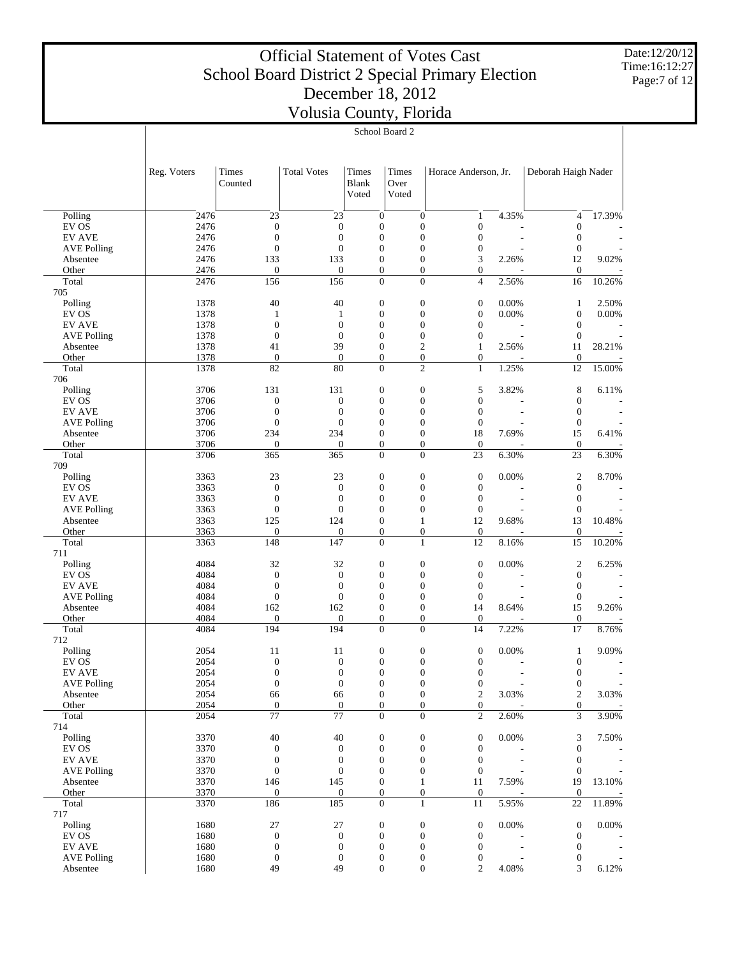Date:12/20/12 Time:16:12:27 Page:7 of 12

|                                     | School Board 2 |                                      |                                      |                                      |                                      |                                      |                          |                                      |        |  |
|-------------------------------------|----------------|--------------------------------------|--------------------------------------|--------------------------------------|--------------------------------------|--------------------------------------|--------------------------|--------------------------------------|--------|--|
|                                     |                |                                      |                                      |                                      |                                      |                                      |                          |                                      |        |  |
|                                     |                |                                      |                                      |                                      |                                      |                                      |                          |                                      |        |  |
|                                     | Reg. Voters    | Times                                | <b>Total Votes</b>                   | Times                                | Times                                | Horace Anderson, Jr.                 |                          | Deborah Haigh Nader                  |        |  |
|                                     |                | Counted                              |                                      | <b>Blank</b>                         | Over                                 |                                      |                          |                                      |        |  |
|                                     |                |                                      |                                      | Voted                                | Voted                                |                                      |                          |                                      |        |  |
|                                     |                |                                      |                                      |                                      |                                      |                                      |                          |                                      |        |  |
| Polling                             | 2476           | 23                                   | 23                                   | $\mathbf{0}$                         | $\boldsymbol{0}$                     | 1                                    | 4.35%                    | 4                                    | 17.39% |  |
| EV OS<br><b>EV AVE</b>              | 2476<br>2476   | $\mathbf{0}$<br>$\mathbf{0}$         | $\boldsymbol{0}$<br>$\boldsymbol{0}$ | $\boldsymbol{0}$<br>$\boldsymbol{0}$ | $\boldsymbol{0}$<br>$\boldsymbol{0}$ | $\boldsymbol{0}$<br>$\boldsymbol{0}$ |                          | $\mathbf{0}$<br>$\mathbf{0}$         |        |  |
| <b>AVE Polling</b>                  | 2476           | $\mathbf{0}$                         | $\boldsymbol{0}$                     | $\boldsymbol{0}$                     | $\boldsymbol{0}$                     | 0                                    | $\overline{a}$           | $\mathbf{0}$                         |        |  |
| Absentee                            | 2476           | 133                                  | 133                                  | $\boldsymbol{0}$                     | $\boldsymbol{0}$                     | 3                                    | 2.26%                    | 12                                   | 9.02%  |  |
| Other                               | 2476           | $\mathbf{0}$                         | $\boldsymbol{0}$                     | $\boldsymbol{0}$                     | $\boldsymbol{0}$                     | 0                                    |                          | $\mathbf{0}$                         |        |  |
| Total                               | 2476           | 156                                  | 156                                  | $\boldsymbol{0}$                     | $\boldsymbol{0}$                     | $\overline{4}$                       | 2.56%                    | 16                                   | 10.26% |  |
| 705                                 |                |                                      |                                      |                                      |                                      |                                      |                          |                                      |        |  |
| Polling                             | 1378           | 40                                   | 40                                   | $\boldsymbol{0}$                     | $\boldsymbol{0}$                     | $\boldsymbol{0}$                     | 0.00%                    | $\mathbf{1}$                         | 2.50%  |  |
| EV OS<br><b>EV AVE</b>              | 1378<br>1378   | $\mathbf{1}$<br>$\boldsymbol{0}$     | 1<br>$\mathbf{0}$                    | $\boldsymbol{0}$<br>$\boldsymbol{0}$ | $\boldsymbol{0}$<br>$\boldsymbol{0}$ | $\boldsymbol{0}$<br>$\boldsymbol{0}$ | 0.00%                    | $\mathbf{0}$<br>$\mathbf{0}$         | 0.00%  |  |
| <b>AVE Polling</b>                  | 1378           | $\mathbf{0}$                         | $\boldsymbol{0}$                     | $\boldsymbol{0}$                     | $\boldsymbol{0}$                     | $\boldsymbol{0}$                     | $\overline{\phantom{a}}$ | $\mathbf{0}$                         |        |  |
| Absentee                            | 1378           | 41                                   | 39                                   | $\boldsymbol{0}$                     | $\mathfrak{2}$                       | $\mathbf{1}$                         | 2.56%                    | 11                                   | 28.21% |  |
| Other                               | 1378           | $\mathbf{0}$                         | $\mathbf{0}$                         | $\boldsymbol{0}$                     | $\boldsymbol{0}$                     | 0                                    |                          | $\mathbf{0}$                         |        |  |
| Total                               | 1378           | 82                                   | 80                                   | $\boldsymbol{0}$                     | $\overline{c}$                       | $\mathbf{1}$                         | 1.25%                    | 12                                   | 15.00% |  |
| 706                                 |                |                                      |                                      |                                      |                                      |                                      |                          |                                      |        |  |
| Polling                             | 3706           | 131                                  | 131                                  | $\boldsymbol{0}$                     | $\boldsymbol{0}$                     | 5                                    | 3.82%                    | 8                                    | 6.11%  |  |
| EV OS<br><b>EV AVE</b>              | 3706<br>3706   | $\mathbf{0}$<br>$\boldsymbol{0}$     | $\boldsymbol{0}$<br>$\mathbf{0}$     | $\boldsymbol{0}$<br>$\boldsymbol{0}$ | $\boldsymbol{0}$<br>$\boldsymbol{0}$ | $\boldsymbol{0}$<br>$\boldsymbol{0}$ | L,                       | $\boldsymbol{0}$<br>$\mathbf{0}$     |        |  |
| <b>AVE Polling</b>                  | 3706           | $\boldsymbol{0}$                     | $\boldsymbol{0}$                     | $\boldsymbol{0}$                     | $\boldsymbol{0}$                     | $\boldsymbol{0}$                     |                          | $\mathbf{0}$                         |        |  |
| Absentee                            | 3706           | 234                                  | 234                                  | $\boldsymbol{0}$                     | $\boldsymbol{0}$                     | 18                                   | 7.69%                    | 15                                   | 6.41%  |  |
| Other                               | 3706           | $\mathbf{0}$                         | $\boldsymbol{0}$                     | $\boldsymbol{0}$                     | $\boldsymbol{0}$                     | $\boldsymbol{0}$                     |                          | $\mathbf{0}$                         |        |  |
| Total                               | 3706           | 365                                  | 365                                  | $\boldsymbol{0}$                     | $\boldsymbol{0}$                     | 23                                   | 6.30%                    | 23                                   | 6.30%  |  |
| 709                                 |                |                                      |                                      |                                      |                                      |                                      |                          |                                      |        |  |
| Polling                             | 3363           | 23                                   | 23                                   | $\boldsymbol{0}$                     | $\boldsymbol{0}$                     | $\boldsymbol{0}$                     | 0.00%                    | $\overline{c}$                       | 8.70%  |  |
| EV OS                               | 3363           | $\boldsymbol{0}$                     | $\boldsymbol{0}$                     | $\boldsymbol{0}$                     | $\boldsymbol{0}$                     | $\boldsymbol{0}$                     |                          | $\boldsymbol{0}$                     |        |  |
| <b>EV AVE</b><br><b>AVE Polling</b> | 3363<br>3363   | $\boldsymbol{0}$<br>$\boldsymbol{0}$ | $\boldsymbol{0}$<br>$\boldsymbol{0}$ | $\boldsymbol{0}$<br>$\boldsymbol{0}$ | $\boldsymbol{0}$<br>$\boldsymbol{0}$ | $\boldsymbol{0}$<br>$\boldsymbol{0}$ | ÷                        | $\mathbf{0}$<br>$\mathbf{0}$         |        |  |
| Absentee                            | 3363           | 125                                  | 124                                  | $\boldsymbol{0}$                     | $\mathbf{1}$                         | 12                                   | 9.68%                    | 13                                   | 10.48% |  |
| Other                               | 3363           | $\mathbf{0}$                         | $\mathbf{0}$                         | $\boldsymbol{0}$                     | $\boldsymbol{0}$                     | $\boldsymbol{0}$                     |                          | $\boldsymbol{0}$                     |        |  |
| Total                               | 3363           | 148                                  | $\overline{147}$                     | $\boldsymbol{0}$                     | $\mathbf{1}$                         | 12                                   | 8.16%                    | 15                                   | 10.20% |  |
| 711                                 |                |                                      |                                      |                                      |                                      |                                      |                          |                                      |        |  |
| Polling                             | 4084           | 32                                   | 32                                   | $\boldsymbol{0}$                     | $\boldsymbol{0}$                     | $\boldsymbol{0}$                     | 0.00%                    | $\overline{c}$                       | 6.25%  |  |
| EV OS                               | 4084           | $\boldsymbol{0}$                     | $\boldsymbol{0}$                     | $\boldsymbol{0}$                     | $\boldsymbol{0}$                     | $\boldsymbol{0}$                     |                          | $\boldsymbol{0}$                     |        |  |
| <b>EV AVE</b>                       | 4084<br>4084   | $\boldsymbol{0}$<br>$\boldsymbol{0}$ | $\boldsymbol{0}$<br>$\boldsymbol{0}$ | $\boldsymbol{0}$<br>$\boldsymbol{0}$ | $\boldsymbol{0}$<br>$\boldsymbol{0}$ | $\boldsymbol{0}$                     | ÷                        | $\mathbf{0}$<br>$\mathbf{0}$         |        |  |
| <b>AVE Polling</b><br>Absentee      | 4084           | 162                                  | 162                                  | $\boldsymbol{0}$                     | $\boldsymbol{0}$                     | $\boldsymbol{0}$<br>14               | 8.64%                    | 15                                   | 9.26%  |  |
| Other                               | 4084           | $\mathbf{0}$                         | $\boldsymbol{0}$                     | $\boldsymbol{0}$                     | $\boldsymbol{0}$                     | $\boldsymbol{0}$                     |                          | $\boldsymbol{0}$                     |        |  |
| Total                               | 4084           | 194                                  | 194                                  | $\boldsymbol{0}$                     | $\boldsymbol{0}$                     | 14                                   | 7.22%                    | 17                                   | 8.76%  |  |
| 712                                 |                |                                      |                                      |                                      |                                      |                                      |                          |                                      |        |  |
| Polling                             | 2054           | 11                                   | 11                                   | $\boldsymbol{0}$                     | $\boldsymbol{0}$                     | $\boldsymbol{0}$                     | 0.00%                    | $\mathbf{1}$                         | 9.09%  |  |
| EV OS                               | 2054           | $\overline{0}$                       | $\overline{0}$                       | $\overline{0}$                       | $\mathbf{0}$                         | $\overline{0}$                       |                          | $\overline{0}$                       |        |  |
| <b>EV AVE</b>                       | 2054           | $\boldsymbol{0}$                     | $\boldsymbol{0}$                     | $\boldsymbol{0}$                     | $\boldsymbol{0}$                     | $\boldsymbol{0}$                     | L,                       | $\boldsymbol{0}$                     |        |  |
| <b>AVE Polling</b><br>Absentee      | 2054<br>2054   | $\boldsymbol{0}$<br>66               | $\boldsymbol{0}$<br>66               | $\boldsymbol{0}$<br>$\boldsymbol{0}$ | $\boldsymbol{0}$<br>$\boldsymbol{0}$ | $\boldsymbol{0}$<br>$\boldsymbol{2}$ | 3.03%                    | $\boldsymbol{0}$<br>$\boldsymbol{2}$ | 3.03%  |  |
| Other                               | 2054           | $\mathbf{0}$                         | $\mathbf{0}$                         | $\boldsymbol{0}$                     | $\boldsymbol{0}$                     | 0                                    |                          | $\boldsymbol{0}$                     |        |  |
| Total                               | 2054           | $\overline{77}$                      | $\overline{77}$                      | $\overline{0}$                       | $\overline{0}$                       | $\overline{c}$                       | 2.60%                    | 3                                    | 3.90%  |  |
| 714                                 |                |                                      |                                      |                                      |                                      |                                      |                          |                                      |        |  |
| Polling                             | 3370           | 40                                   | 40                                   | 0                                    | $\boldsymbol{0}$                     | $\boldsymbol{0}$                     | 0.00%                    | 3                                    | 7.50%  |  |
| EV OS                               | 3370           | $\mathbf{0}$                         | $\boldsymbol{0}$                     | $\boldsymbol{0}$                     | $\boldsymbol{0}$                     | $\boldsymbol{0}$                     |                          | $\mathbf{0}$                         |        |  |
| <b>EV AVE</b>                       | 3370           | $\boldsymbol{0}$                     | $\boldsymbol{0}$                     | $\boldsymbol{0}$                     | $\boldsymbol{0}$                     | $\boldsymbol{0}$                     | $\overline{a}$           | $\boldsymbol{0}$                     |        |  |
| <b>AVE Polling</b><br>Absentee      | 3370<br>3370   | $\boldsymbol{0}$<br>146              | $\boldsymbol{0}$<br>145              | $\boldsymbol{0}$<br>$\boldsymbol{0}$ | $\boldsymbol{0}$<br>$\mathbf{1}$     | $\boldsymbol{0}$<br>11               | 7.59%                    | $\mathbf{0}$<br>19                   | 13.10% |  |
| Other                               | 3370           | $\mathbf{0}$                         | $\boldsymbol{0}$                     | $\boldsymbol{0}$                     | $\boldsymbol{0}$                     | $\boldsymbol{0}$                     |                          | $\boldsymbol{0}$                     |        |  |
| Total                               | 3370           | 186                                  | 185                                  | $\overline{0}$                       | $\mathbf{1}$                         | 11                                   | 5.95%                    | 22                                   | 11.89% |  |
| 717                                 |                |                                      |                                      |                                      |                                      |                                      |                          |                                      |        |  |
| Polling                             | 1680           | 27                                   | 27                                   | $\boldsymbol{0}$                     | $\boldsymbol{0}$                     | $\boldsymbol{0}$                     | 0.00%                    | $\mathbf{0}$                         | 0.00%  |  |
| EV OS                               | 1680           | $\mathbf{0}$                         | $\boldsymbol{0}$                     | $\boldsymbol{0}$                     | $\boldsymbol{0}$                     | $\boldsymbol{0}$                     |                          | $\mathbf{0}$                         |        |  |
| <b>EV AVE</b>                       | 1680           | $\mathbf{0}$                         | $\boldsymbol{0}$                     | $\boldsymbol{0}$                     | $\boldsymbol{0}$                     | $\boldsymbol{0}$                     | $\overline{\phantom{a}}$ | $\boldsymbol{0}$                     |        |  |
| <b>AVE Polling</b><br>Absentee      | 1680<br>1680   | $\mathbf{0}$<br>49                   | $\boldsymbol{0}$<br>49               | $\boldsymbol{0}$<br>$\boldsymbol{0}$ | $\boldsymbol{0}$<br>$\boldsymbol{0}$ | 0<br>2                               | 4.08%                    | $\boldsymbol{0}$<br>3                | 6.12%  |  |
|                                     |                |                                      |                                      |                                      |                                      |                                      |                          |                                      |        |  |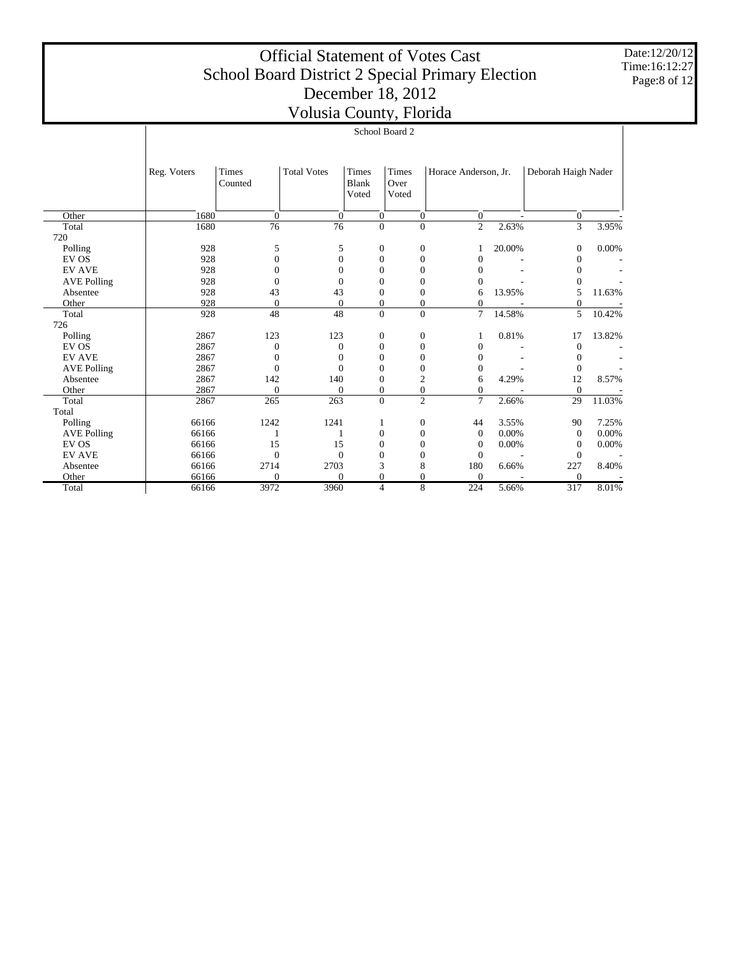Date:12/20/12 Time:16:12:27 Page:8 of 12

|                    |             |                  | VOIDSID COUITY, I IOHUU |                                       |                        |                      |        |                     |        |
|--------------------|-------------|------------------|-------------------------|---------------------------------------|------------------------|----------------------|--------|---------------------|--------|
|                    |             |                  |                         | School Board 2                        |                        |                      |        |                     |        |
|                    |             |                  |                         |                                       |                        |                      |        |                     |        |
|                    | Reg. Voters | Times<br>Counted | <b>Total Votes</b>      | <b>Times</b><br><b>Blank</b><br>Voted | Times<br>Over<br>Voted | Horace Anderson, Jr. |        | Deborah Haigh Nader |        |
| Other              | 1680        | $\mathbf{0}$     | $\Omega$                | $\overline{0}$                        | $\mathbf{0}$           | $\overline{0}$       |        | $\overline{0}$      |        |
| Total<br>720       | 1680        | 76               | 76                      | $\overline{0}$                        | $\overline{0}$         | $\mathfrak{2}$       | 2.63%  | $\overline{3}$      | 3.95%  |
| Polling            | 928         | 5                | 5                       | $\boldsymbol{0}$                      | $\boldsymbol{0}$       |                      | 20.00% | $\theta$            | 0.00%  |
| EV OS              | 928         | $\mathbf{0}$     | $\overline{0}$          | $\overline{0}$                        | $\mathbf{0}$           | 0                    |        | $\Omega$            |        |
| <b>EV AVE</b>      | 928         | $\Omega$         | $\overline{0}$          | $\overline{0}$                        | 0                      | 0                    |        | $\overline{0}$      |        |
| <b>AVE Polling</b> | 928         | $\theta$         | $\theta$                | $\overline{0}$                        | $\mathbf{0}$           | 0                    |        | $\mathbf{0}$        |        |
| Absentee           | 928         | 43               | 43                      | $\boldsymbol{0}$                      | $\boldsymbol{0}$       | 6                    | 13.95% | 5                   | 11.63% |
| Other              | 928         | $\mathbf{0}$     | $\overline{0}$          | $\boldsymbol{0}$                      | $\boldsymbol{0}$       | $\overline{0}$       |        | $\boldsymbol{0}$    |        |
| Total              | 928         | 48               | 48                      | $\Omega$                              | $\Omega$               | 7                    | 14.58% | 5                   | 10.42% |
| 726                |             |                  |                         |                                       |                        |                      |        |                     |        |
| Polling            | 2867        | 123              | 123                     | $\boldsymbol{0}$                      | $\boldsymbol{0}$       |                      | 0.81%  | 17                  | 13.82% |
| EV OS              | 2867        | $\mathbf{0}$     | $\overline{0}$          | $\boldsymbol{0}$                      | $\boldsymbol{0}$       | 0                    |        | $\theta$            |        |
| <b>EV AVE</b>      | 2867        | $\Omega$         | $\theta$                | $\overline{0}$                        | $\boldsymbol{0}$       | $\Omega$             |        | $\theta$            |        |
| <b>AVE Polling</b> | 2867        | $\Omega$         | $\overline{0}$          | $\boldsymbol{0}$                      | $\boldsymbol{0}$       | 0                    |        | $\mathbf{0}$        |        |
| Absentee           | 2867        | 142              | 140                     | $\boldsymbol{0}$                      | 2                      | 6                    | 4.29%  | 12                  | 8.57%  |
| Other              | 2867        | $\mathbf{0}$     | $\boldsymbol{0}$        | $\boldsymbol{0}$                      | $\boldsymbol{0}$       | 0                    |        | $\mathbf{0}$        |        |
| Total              | 2867        | 265              | 263                     | $\overline{0}$                        | $\overline{c}$         | $\overline{7}$       | 2.66%  | 29                  | 11.03% |
| Total              |             |                  |                         |                                       |                        |                      |        |                     |        |
| Polling            | 66166       | 1242             | 1241                    | 1                                     | $\boldsymbol{0}$       | 44                   | 3.55%  | 90                  | 7.25%  |
| <b>AVE Polling</b> | 66166       |                  |                         | $\boldsymbol{0}$                      | $\boldsymbol{0}$       | $\theta$             | 0.00%  | $\boldsymbol{0}$    | 0.00%  |
| EV OS              | 66166       | 15               | 15                      | $\boldsymbol{0}$                      | $\boldsymbol{0}$       | 0                    | 0.00%  | $\boldsymbol{0}$    | 0.00%  |
| <b>EV AVE</b>      | 66166       | $\mathbf{0}$     | $\mathbf{0}$            | $\overline{0}$                        | $\overline{0}$         | $\overline{0}$       |        | $\mathbf{0}$        |        |
| Absentee           | 66166       | 2714             | 2703                    | 3                                     | 8                      | 180                  | 6.66%  | 227                 | 8.40%  |
| Other              | 66166       | $\Omega$         | $\Omega$                | $\overline{0}$                        | $\mathbf{0}$           | $\Omega$             |        | $\boldsymbol{0}$    |        |
| Total              | 66166       | 3972             | 3960                    | $\overline{4}$                        | 8                      | 224                  | 5.66%  | 317                 | 8.01%  |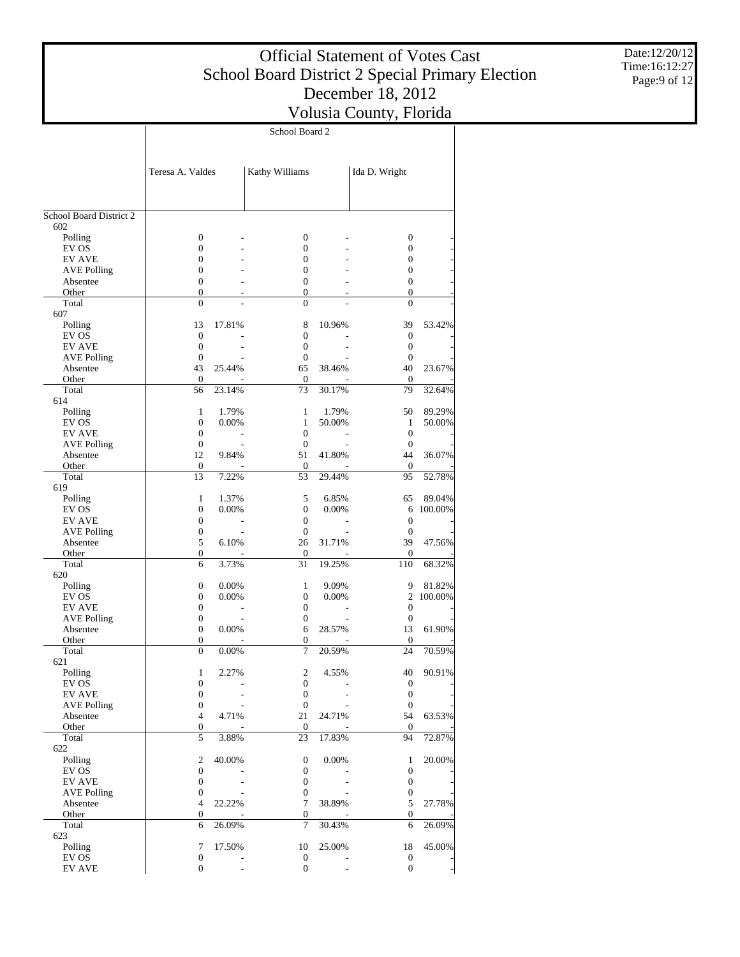$\overline{\phantom{a}}$ 

School Board 2

 $\overline{1}$ 

Date:12/20/12 Time:16:12:27 Page:9 of 12

|                                | Teresa A. Valdes                   |        | Kathy Williams                   |        | Ida D. Wright                |           |
|--------------------------------|------------------------------------|--------|----------------------------------|--------|------------------------------|-----------|
| School Board District 2        |                                    |        |                                  |        |                              |           |
| 602                            |                                    |        |                                  |        |                              |           |
| Polling                        | $\boldsymbol{0}$                   |        | 0                                |        | $\mathbf{0}$                 |           |
| EV OS                          | $\mathbf{0}$                       |        | $\overline{0}$                   |        | $\mathbf{0}$                 |           |
| <b>EV AVE</b>                  | $\overline{0}$                     |        | $\mathbf{0}$                     |        | $\mathbf{0}$                 |           |
| <b>AVE Polling</b><br>Absentee | $\mathbf{0}$<br>$\mathbf{0}$       |        | $\overline{0}$<br>$\overline{0}$ |        | $\mathbf{0}$<br>$\mathbf{0}$ |           |
| Other                          | $\mathbf{0}$                       |        | 0                                |        | $\mathbf{0}$                 |           |
| Total                          | $\mathbf{0}$                       |        | $\overline{0}$                   |        | $\overline{0}$               |           |
| 607                            |                                    |        |                                  |        |                              |           |
| Polling                        | 13                                 | 17.81% | 8                                | 10.96% | 39                           | 53.42%    |
| EV OS                          | $\overline{0}$                     |        | $\overline{0}$                   |        | $\mathbf{0}$                 |           |
| <b>EV AVE</b>                  | $\mathbf{0}$<br>$\mathbf{0}$       |        | $\overline{0}$<br>$\mathbf{0}$   |        | $\mathbf{0}$<br>$\mathbf{0}$ |           |
| <b>AVE Polling</b><br>Absentee | 43                                 | 25.44% | 65                               | 38.46% | 40                           | 23.67%    |
| Other                          | $\overline{0}$                     |        | $\overline{0}$                   |        | $\mathbf{0}$                 |           |
| Total                          | 56                                 | 23.14% | 73                               | 30.17% | 79                           | 32.64%    |
| 614                            |                                    |        |                                  |        |                              |           |
| Polling                        | 1                                  | 1.79%  | 1                                | 1.79%  | 50                           | 89.29%    |
| EV OS                          | $\mathbf{0}$                       | 0.00%  | $\mathbf{1}$                     | 50.00% | $\mathbf{1}$                 | 50.00%    |
| <b>EV AVE</b>                  | $\mathbf{0}$                       |        | $\overline{0}$                   |        | $\mathbf{0}$                 |           |
| <b>AVE Polling</b><br>Absentee | $\mathbf{0}$<br>12                 | 9.84%  | $\mathbf{0}$<br>51               | 41.80% | $\overline{0}$<br>44         | 36.07%    |
| Other                          | 0                                  |        | $\boldsymbol{0}$                 |        | $\overline{0}$               |           |
| Total                          | 13                                 | 7.22%  | 53                               | 29.44% | 95                           | 52.78%    |
| 619                            |                                    |        |                                  |        |                              |           |
| Polling                        | 1                                  | 1.37%  | 5                                | 6.85%  | 65                           | 89.04%    |
| EV OS                          | $\mathbf{0}$                       | 0.00%  | $\overline{0}$                   | 0.00%  |                              | 6 100.00% |
| <b>EV AVE</b>                  | $\mathbf{0}$                       |        | $\overline{0}$                   |        | $\boldsymbol{0}$             |           |
| <b>AVE Polling</b><br>Absentee | $\boldsymbol{0}$<br>5              | 6.10%  | $\mathbf{0}$<br>26               | 31.71% | $\mathbf{0}$<br>39           | 47.56%    |
| Other                          | $\boldsymbol{0}$                   |        | $\boldsymbol{0}$                 |        | $\mathbf{0}$                 |           |
| Total                          | 6                                  | 3.73%  | 31                               | 19.25% | 110                          | 68.32%    |
| 620                            |                                    |        |                                  |        |                              |           |
| Polling                        | $\boldsymbol{0}$                   | 0.00%  | 1                                | 9.09%  | 9                            | 81.82%    |
| EV OS                          | $\mathbf{0}$                       | 0.00%  | $\overline{0}$                   | 0.00%  | 2                            | 100.00%   |
| <b>EV AVE</b>                  | $\mathbf{0}$                       |        | $\overline{0}$                   |        | $\mathbf{0}$                 |           |
| <b>AVE Polling</b><br>Absentee | $\mathbf{0}$<br>$\mathbf{0}$       | 0.00%  | 0<br>6                           | 28.57% | $\mathbf{0}$<br>13           | 61.90%    |
| Other                          | $\boldsymbol{0}$                   |        | 0                                |        | $\mathbf{0}$                 |           |
| Total                          | $\mathbf{0}$                       | 0.00%  | 7                                | 20.59% | 24                           | 70.59%    |
| 621                            |                                    |        |                                  |        |                              |           |
| Polling                        | 1                                  | 2.27%  | $\overline{2}$                   | 4.55%  | 40                           | 90.91%    |
| EV OS                          | $\boldsymbol{0}$                   |        | 0                                |        | $\boldsymbol{0}$             |           |
| <b>EV AVE</b>                  | $\boldsymbol{0}$                   |        | 0                                |        | $\boldsymbol{0}$             |           |
| <b>AVE Polling</b><br>Absentee | $\boldsymbol{0}$<br>$\overline{4}$ | 4.71%  | $\mathbf{0}$<br>21               | 24.71% | $\mathbf{0}$<br>54           | 63.53%    |
| Other                          | 0                                  |        | $\boldsymbol{0}$                 |        | $\mathbf{0}$                 |           |
| Total                          | 5                                  | 3.88%  | 23                               | 17.83% | 94                           | 72.87%    |
| 622                            |                                    |        |                                  |        |                              |           |
| Polling                        | 2                                  | 40.00% | 0                                | 0.00%  | 1                            | 20.00%    |
| EV OS                          | $\boldsymbol{0}$                   |        | 0                                |        | $\boldsymbol{0}$             |           |
| <b>EV AVE</b>                  | 0                                  |        | 0                                |        | $\boldsymbol{0}$             |           |
| <b>AVE Polling</b><br>Absentee | 0<br>4                             | 22.22% | 0<br>7                           | 38.89% | 0<br>5                       | 27.78%    |
| Other                          | $\boldsymbol{0}$                   |        | 0                                |        | $\boldsymbol{0}$             |           |
| Total                          | 6                                  | 26.09% | 7                                | 30.43% | 6                            | 26.09%    |
| 623                            |                                    |        |                                  |        |                              |           |
| Polling                        | 7                                  | 17.50% | 10                               | 25.00% | 18                           | 45.00%    |
| EV OS                          | 0                                  |        | $\mathbf{0}$                     |        | $\mathbf{0}$                 |           |
| <b>EV AVE</b>                  | $\boldsymbol{0}$                   |        | $\boldsymbol{0}$                 |        | $\mathbf{0}$                 |           |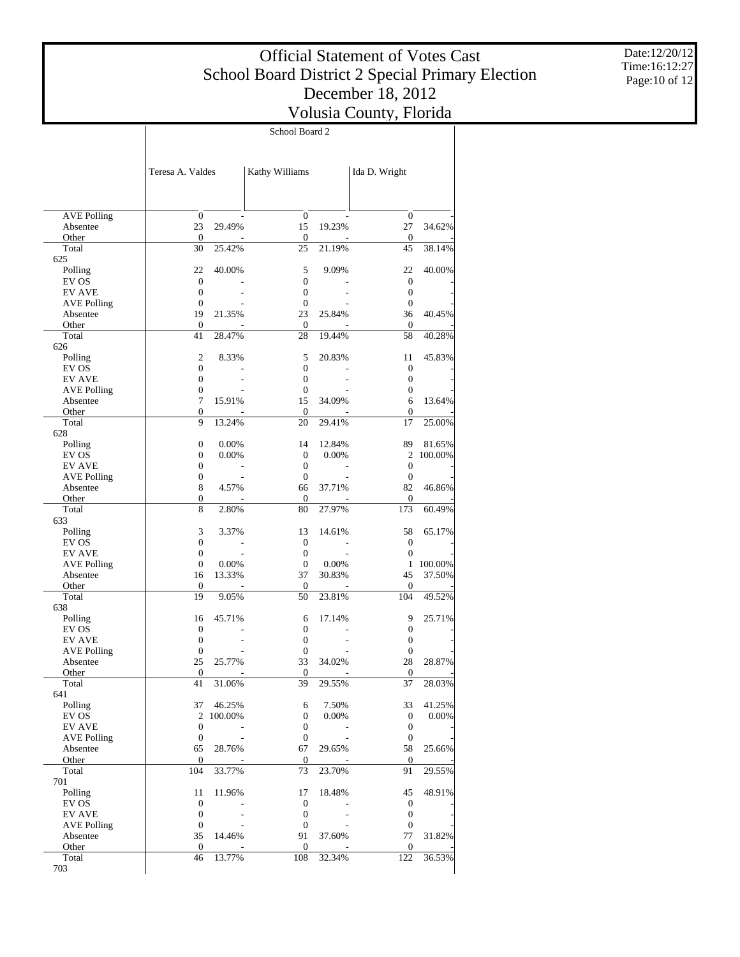$\top$ 

Date:12/20/12 Time:16:12:27 Page:10 of 12

|                        | School Board 2                   |                   |                                      |                |                        |                 |  |
|------------------------|----------------------------------|-------------------|--------------------------------------|----------------|------------------------|-----------------|--|
|                        |                                  |                   |                                      |                |                        |                 |  |
|                        |                                  |                   |                                      |                |                        |                 |  |
|                        | Teresa A. Valdes                 |                   | Kathy Williams                       |                | Ida D. Wright          |                 |  |
|                        |                                  |                   |                                      |                |                        |                 |  |
|                        |                                  |                   |                                      |                |                        |                 |  |
| <b>AVE Polling</b>     | $\boldsymbol{0}$                 |                   | $\mathbf{0}$                         |                | $\boldsymbol{0}$       |                 |  |
| Absentee               | 23                               | 29.49%            | 15                                   | 19.23%         | 27                     | 34.62%          |  |
| Other                  | $\mathbf{0}$                     |                   | 0                                    |                | 0                      |                 |  |
| Total<br>625           | 30                               | 25.42%            | 25                                   | 21.19%         | 45                     | 38.14%          |  |
| Polling                | 22                               | 40.00%            | 5                                    | 9.09%          | 22                     | 40.00%          |  |
| EV OS                  | $\mathbf{0}$                     |                   | $\boldsymbol{0}$                     |                | 0                      |                 |  |
| <b>EV AVE</b>          | $\boldsymbol{0}$                 |                   | $\boldsymbol{0}$                     |                | $\boldsymbol{0}$       |                 |  |
| <b>AVE Polling</b>     | $\mathbf{0}$                     |                   | 0                                    |                | 0                      |                 |  |
| Absentee               | 19                               | 21.35%            | 23                                   | 25.84%         | 36                     | 40.45%          |  |
| Other<br>Total         | $\boldsymbol{0}$<br>41           | 28.47%            | 0<br>28                              | 19.44%         | 0<br>58                | 40.28%          |  |
| 626                    |                                  |                   |                                      |                |                        |                 |  |
| Polling                | $\mathfrak{2}$                   | 8.33%             | 5                                    | 20.83%         | 11                     | 45.83%          |  |
| EV OS                  | $\boldsymbol{0}$                 |                   | 0                                    |                | $\boldsymbol{0}$       |                 |  |
| <b>EV AVE</b>          | $\boldsymbol{0}$                 |                   | 0                                    |                | $\boldsymbol{0}$       |                 |  |
| <b>AVE Polling</b>     | $\boldsymbol{0}$                 |                   | 0                                    |                | $\boldsymbol{0}$       |                 |  |
| Absentee               | 7                                | 15.91%            | 15                                   | 34.09%         | 6                      | 13.64%          |  |
| Other                  | $\boldsymbol{0}$<br>9            |                   | 0                                    |                | 0                      |                 |  |
| Total<br>628           |                                  | 13.24%            | 20                                   | 29.41%         | 17                     | 25.00%          |  |
| Polling                | $\boldsymbol{0}$                 | 0.00%             | 14                                   | 12.84%         | 89                     | 81.65%          |  |
| EV OS                  | $\boldsymbol{0}$                 | 0.00%             | $\boldsymbol{0}$                     | 0.00%          | 2                      | 100.00%         |  |
| <b>EV AVE</b>          | $\boldsymbol{0}$                 |                   | $\boldsymbol{0}$                     |                | $\boldsymbol{0}$       |                 |  |
| <b>AVE Polling</b>     | $\boldsymbol{0}$                 |                   | $\mathbf{0}$                         |                | $\boldsymbol{0}$       |                 |  |
| Absentee               | 8                                | 4.57%             | 66                                   | 37.71%         | 82                     | 46.86%          |  |
| Other                  | $\boldsymbol{0}$                 |                   | 0                                    |                | 0                      |                 |  |
| Total                  | 8                                | 2.80%             | 80                                   | 27.97%         | 173                    | 60.49%          |  |
| 633<br>Polling         | 3                                | 3.37%             | 13                                   | 14.61%         | 58                     | 65.17%          |  |
| EV OS                  | $\boldsymbol{0}$                 |                   | $\mathbf{0}$                         |                | $\boldsymbol{0}$       |                 |  |
| <b>EV AVE</b>          | $\boldsymbol{0}$                 |                   | $\boldsymbol{0}$                     |                | $\boldsymbol{0}$       |                 |  |
| <b>AVE Polling</b>     | $\mathbf{0}$                     | 0.00%             | $\mathbf{0}$                         | 0.00%          | $\mathbf{1}$           | 100.00%         |  |
| Absentee               | 16                               | 13.33%            | 37                                   | 30.83%         | 45                     | 37.50%          |  |
| Other                  | $\mathbf{0}$                     |                   | 0                                    |                | 0                      |                 |  |
| Total                  | 19                               | 9.05%             | 50                                   | 23.81%         | 104                    | 49.52%          |  |
| 638<br>Polling         | 16                               | 45.71%            | 6                                    | 17.14%         | 9                      | 25.71%          |  |
| EV OS                  | $\mathbf{0}$                     |                   | $\boldsymbol{0}$                     |                | 0                      |                 |  |
| <b>EV AVE</b>          | $\boldsymbol{0}$                 |                   | $\boldsymbol{0}$                     |                | 0                      |                 |  |
| <b>AVE Polling</b>     | $\boldsymbol{0}$                 |                   | 0                                    |                | 0                      |                 |  |
| Absentee               | 25                               | 25.77%            | 33                                   | 34.02%         | 28                     | 28.87%          |  |
| Other                  | $\boldsymbol{0}$                 |                   | $\boldsymbol{0}$                     |                | $\boldsymbol{0}$       |                 |  |
| Total                  | 41                               | 31.06%            | 39                                   | 29.55%         | 37                     | 28.03%          |  |
| 641                    |                                  |                   |                                      |                |                        |                 |  |
| Polling<br>EV OS       | 37<br>$\mathfrak{2}$             | 46.25%<br>100.00% | 6<br>0                               | 7.50%<br>0.00% | 33<br>$\boldsymbol{0}$ | 41.25%<br>0.00% |  |
| <b>EV AVE</b>          | $\boldsymbol{0}$                 |                   | $\boldsymbol{0}$                     |                | $\boldsymbol{0}$       |                 |  |
| <b>AVE Polling</b>     | $\boldsymbol{0}$                 |                   | $\boldsymbol{0}$                     |                | $\boldsymbol{0}$       |                 |  |
| Absentee               | 65                               | 28.76%            | 67                                   | 29.65%         | 58                     | 25.66%          |  |
| Other                  | $\boldsymbol{0}$                 |                   | $\boldsymbol{0}$                     |                | 0                      |                 |  |
| Total                  | 104                              | 33.77%            | 73                                   | 23.70%         | 91                     | 29.55%          |  |
| 701                    |                                  |                   |                                      |                |                        |                 |  |
| Polling                | 11                               | 11.96%            | 17                                   | 18.48%         | 45                     | 48.91%          |  |
| EV OS<br><b>EV AVE</b> | $\boldsymbol{0}$<br>$\mathbf{0}$ |                   | $\boldsymbol{0}$<br>$\boldsymbol{0}$ |                | 0<br>$\boldsymbol{0}$  |                 |  |
| <b>AVE Polling</b>     | $\boldsymbol{0}$                 |                   | $\boldsymbol{0}$                     |                | $\boldsymbol{0}$       |                 |  |
| Absentee               | 35                               | 14.46%            | 91                                   | 37.60%         | 77                     | 31.82%          |  |
| Other                  | $\boldsymbol{0}$                 |                   | $\boldsymbol{0}$                     |                | $\boldsymbol{0}$       |                 |  |
| Total                  | 46                               | 13.77%            | 108                                  | 32.34%         | 122                    | 36.53%          |  |
| 703                    |                                  |                   |                                      |                |                        |                 |  |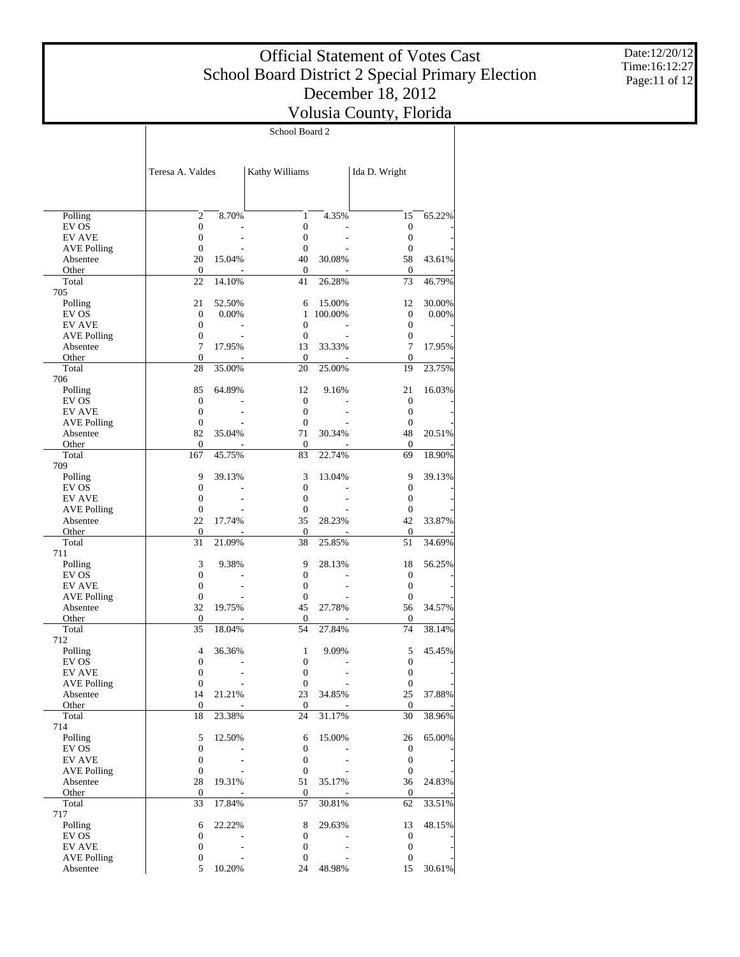School Board 2

Date:12/20/12 Time:16:12:27 Page:11 of 12

|                                     | Teresa A. Valdes                     |        | Kathy Williams               |         | Ida D. Wright                        |        |
|-------------------------------------|--------------------------------------|--------|------------------------------|---------|--------------------------------------|--------|
|                                     |                                      |        |                              |         |                                      |        |
| Polling                             | $\overline{2}$                       | 8.70%  | $\mathbf{1}$                 | 4.35%   | 15                                   | 65.22% |
| EV OS                               | $\boldsymbol{0}$                     |        | $\boldsymbol{0}$             |         | $\boldsymbol{0}$                     |        |
| <b>EV AVE</b>                       | $\boldsymbol{0}$                     |        | $\mathbf{0}$                 |         | $\boldsymbol{0}$                     |        |
| <b>AVE Polling</b>                  | $\boldsymbol{0}$                     |        | $\mathbf{0}$                 |         | $\mathbf{0}$                         |        |
| Absentee                            | 20                                   | 15.04% | 40                           | 30.08%  | 58                                   | 43.61% |
| Other                               | $\boldsymbol{0}$                     |        | 0                            |         | 0                                    |        |
| Total                               | 22                                   | 14.10% | 41                           | 26.28%  | 73                                   | 46.79% |
| 705                                 | 21                                   | 52.50% | 6                            | 15.00%  | 12                                   | 30.00% |
| Polling<br>EV OS                    | $\boldsymbol{0}$                     | 0.00%  | $\mathbf{1}$                 | 100.00% | $\boldsymbol{0}$                     | 0.00%  |
| <b>EV AVE</b>                       | $\boldsymbol{0}$                     |        | $\mathbf{0}$                 |         | $\boldsymbol{0}$                     |        |
| <b>AVE Polling</b>                  | $\boldsymbol{0}$                     |        | $\mathbf{0}$                 |         | $\boldsymbol{0}$                     |        |
| Absentee                            | $\tau$                               | 17.95% | 13                           | 33.33%  | $\overline{7}$                       | 17.95% |
| Other                               | $\boldsymbol{0}$                     |        | 0                            |         | $\mathbf{0}$                         |        |
| Total                               | 28                                   | 35.00% | 20                           | 25.00%  | 19                                   | 23.75% |
| 706                                 |                                      |        |                              |         |                                      |        |
| Polling                             | 85                                   | 64.89% | 12                           | 9.16%   | 21                                   | 16.03% |
| EV OS                               | $\boldsymbol{0}$                     |        | $\mathbf{0}$                 |         | $\boldsymbol{0}$                     |        |
| <b>EV AVE</b><br><b>AVE Polling</b> | $\boldsymbol{0}$<br>$\boldsymbol{0}$ |        | $\mathbf{0}$<br>$\mathbf{0}$ |         | $\boldsymbol{0}$<br>$\mathbf{0}$     |        |
| Absentee                            | 82                                   | 35.04% | 71                           | 30.34%  | 48                                   | 20.51% |
| Other                               | $\boldsymbol{0}$                     |        | 0                            |         | $\mathbf{0}$                         |        |
| Total                               | 167                                  | 45.75% | 83                           | 22.74%  | 69                                   | 18.90% |
| 709                                 |                                      |        |                              |         |                                      |        |
| Polling                             | 9                                    | 39.13% | 3                            | 13.04%  | 9                                    | 39.13% |
| EV OS                               | $\boldsymbol{0}$                     |        | $\boldsymbol{0}$             |         | $\boldsymbol{0}$                     |        |
| <b>EV AVE</b>                       | $\boldsymbol{0}$                     |        | $\mathbf{0}$                 |         | $\boldsymbol{0}$                     |        |
| <b>AVE Polling</b>                  | $\boldsymbol{0}$                     |        | $\mathbf{0}$                 |         | $\mathbf{0}$                         |        |
| Absentee                            | 22<br>$\boldsymbol{0}$               | 17.74% | 35                           | 28.23%  | 42                                   | 33.87% |
| Other<br>Total                      | 31                                   | 21.09% | 0<br>38                      | 25.85%  | $\mathbf{0}$<br>51                   | 34.69% |
| 711                                 |                                      |        |                              |         |                                      |        |
| Polling                             | 3                                    | 9.38%  | 9                            | 28.13%  | 18                                   | 56.25% |
| EV OS                               | $\boldsymbol{0}$                     |        | $\mathbf{0}$                 |         | $\boldsymbol{0}$                     |        |
| <b>EV AVE</b>                       | $\boldsymbol{0}$                     |        | $\mathbf{0}$                 |         | $\boldsymbol{0}$                     |        |
| <b>AVE Polling</b>                  | $\boldsymbol{0}$                     |        | $\mathbf{0}$                 |         | $\boldsymbol{0}$                     |        |
| Absentee                            | 32                                   | 19.75% | 45                           | 27.78%  | 56                                   | 34.57% |
| Other                               | $\boldsymbol{0}$                     |        | 0                            |         | 0                                    |        |
| Total<br>712                        | 35                                   | 18.04% | 54                           | 27.84%  | 74                                   | 38.14% |
| Polling                             | 4                                    | 36.36% | 1                            | 9.09%   | 5                                    | 45.45% |
| EV OS                               | $\boldsymbol{0}$                     |        | 0                            |         | $\boldsymbol{0}$                     |        |
| <b>EV AVE</b>                       | $\boldsymbol{0}$                     |        | 0                            |         | $\boldsymbol{0}$                     |        |
| <b>AVE Polling</b>                  | $\boldsymbol{0}$                     |        | $\boldsymbol{0}$             |         | 0                                    |        |
| Absentee                            | 14                                   | 21.21% | 23                           | 34.85%  | 25                                   | 37.88% |
| Other                               | $\mathbf{0}$                         |        | $\overline{0}$               |         | $\mathbf{0}$                         |        |
| Total                               | 18                                   | 23.38% | 24                           | 31.17%  | 30                                   | 38.96% |
| 714<br>Polling                      |                                      |        |                              |         |                                      |        |
| EV OS                               | 5<br>$\boldsymbol{0}$                | 12.50% | 6<br>$\boldsymbol{0}$        | 15.00%  | 26                                   | 65.00% |
| <b>EV AVE</b>                       | $\boldsymbol{0}$                     |        | $\boldsymbol{0}$             |         | $\boldsymbol{0}$<br>$\boldsymbol{0}$ |        |
| <b>AVE Polling</b>                  | $\boldsymbol{0}$                     |        | $\boldsymbol{0}$             |         | $\boldsymbol{0}$                     |        |
| Absentee                            | 28                                   | 19.31% | 51                           | 35.17%  | 36                                   | 24.83% |
| Other                               | $\mathbf{0}$                         |        | 0                            |         | 0                                    |        |
| Total                               | 33                                   | 17.84% | 57                           | 30.81%  | 62                                   | 33.51% |
| 717                                 |                                      |        |                              |         |                                      |        |
| Polling                             | 6                                    | 22.22% | 8                            | 29.63%  | 13                                   | 48.15% |
| EV OS                               | 0                                    |        | $\boldsymbol{0}$             |         | $\boldsymbol{0}$                     |        |
| <b>EV AVE</b>                       | $\boldsymbol{0}$                     |        | $\boldsymbol{0}$             |         | $\boldsymbol{0}$                     |        |
| <b>AVE Polling</b><br>Absentee      | $\boldsymbol{0}$<br>5                | 10.20% | $\boldsymbol{0}$<br>24       | 48.98%  | $\boldsymbol{0}$<br>15               | 30.61% |
|                                     |                                      |        |                              |         |                                      |        |